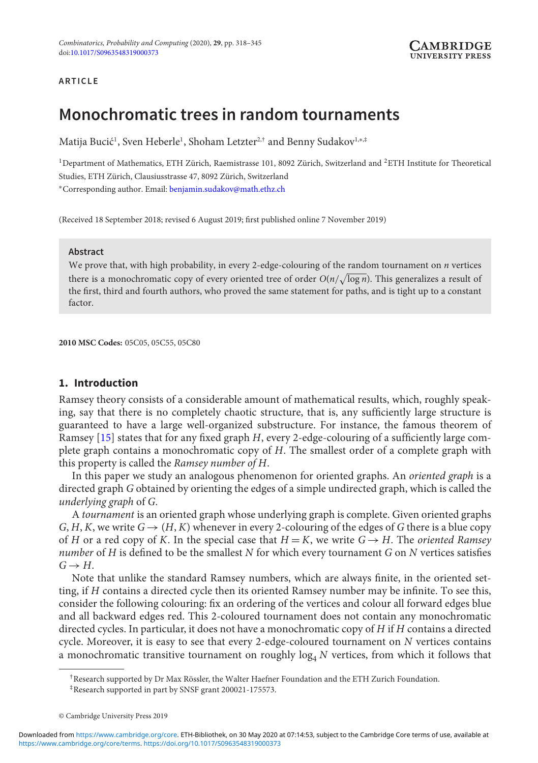# **ARTICLE**

# **Monochromatic trees in random tournaments**

Matija Bucić<sup>1</sup>, Sven Heberle<sup>1</sup>, Shoham Letzter<sup>2,†</sup> and Benny Sudakov<sup>1,∗,‡</sup>

<sup>1</sup>Department of Mathematics, ETH Zürich, Raemistrasse 101, 8092 Zürich, Switzerland and <sup>2</sup>ETH Institute for Theoretical Studies, ETH Zürich, Clausiusstrasse 47, 8092 Zürich, Switzerland

<sup>∗</sup>Corresponding author. Email: [benjamin.sudakov@math.ethz.ch](mailto:benjamin.sudakov@math.ethz.ch)

(Received 18 September 2018; revised 6 August 2019; first published online 7 November 2019)

#### **Abstract**

We prove that, with high probability, in every 2-edge-colouring of the random tournament on *n* vertices there is a monochromatic copy of every oriented tree of order  $O(n/\sqrt{\log n})$ . This generalizes a result of the first, third and fourth authors, who proved the same statement for paths, and is tight up to a constant factor.

**2010 MSC Codes:** 05C05, 05C55, 05C80

# **1. Introduction**

Ramsey theory consists of a considerable amount of mathematical results, which, roughly speaking, say that there is no completely chaotic structure, that is, any sufficiently large structure is guaranteed to have a large well-organized substructure. For instance, the famous theorem of Ramsey [\[15\]](#page-27-0) states that for any fixed graph *H*, every 2-edge-colouring of a sufficiently large complete graph contains a monochromatic copy of *H*. The smallest order of a complete graph with this property is called the *Ramsey number of H*.

In this paper we study an analogous phenomenon for oriented graphs. An *oriented graph* is a directed graph *G* obtained by orienting the edges of a simple undirected graph, which is called the *underlying graph* of *G*.

A *tournament* is an oriented graph whose underlying graph is complete. Given oriented graphs *G*, *H*, *K*, we write  $G \rightarrow (H, K)$  whenever in every 2-colouring of the edges of *G* there is a blue copy of *H* or a red copy of *K*. In the special case that  $H = K$ , we write  $G \rightarrow H$ . The *oriented Ramsey number* of *H* is defined to be the smallest *N* for which every tournament *G* on *N* vertices satisfies  $G \rightarrow H$ 

Note that unlike the standard Ramsey numbers, which are always finite, in the oriented setting, if *H* contains a directed cycle then its oriented Ramsey number may be infinite. To see this, consider the following colouring: fix an ordering of the vertices and colour all forward edges blue and all backward edges red. This 2-coloured tournament does not contain any monochromatic directed cycles. In particular, it does not have a monochromatic copy of *H* if *H* contains a directed cycle. Moreover, it is easy to see that every 2-edge-coloured tournament on *N* vertices contains a monochromatic transitive tournament on roughly  $log<sub>4</sub> N$  vertices, from which it follows that

<sup>†</sup>Research supported by Dr Max Rössler, the Walter Haefner Foundation and the ETH Zurich Foundation.

<sup>‡</sup>Research supported in part by SNSF grant 200021-175573.

<sup>©</sup> Cambridge University Press 2019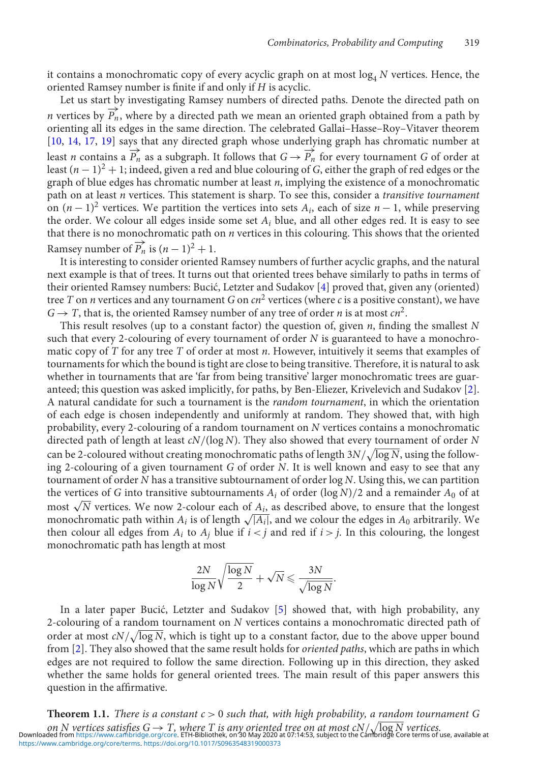it contains a monochromatic copy of every acyclic graph on at most  $log<sub>4</sub> N$  vertices. Hence, the oriented Ramsey number is finite if and only if *H* is acyclic.

Let us start by investigating Ramsey numbers of directed paths. Denote the directed path on *n* vertices by  $\overline{P_n}$ , where by a directed path we mean an oriented graph obtained from a path by orienting all its edges in the same direction. The celebrated Gallai–Hasse–Roy–Vitaver theorem [\[10,](#page-27-1) [14,](#page-27-2) [17,](#page-27-3) [19\]](#page-27-4) says that any directed graph whose underlying graph has chromatic number at least *n* contains a  $\overrightarrow{P_n}$  as a subgraph. It follows that  $G \rightarrow \overrightarrow{P_n}$  for every tournament *G* of order at least  $(n-1)^2 + 1$ ; indeed, given a red and blue colouring of *G*, either the graph of red edges or the graph of blue edges has chromatic number at least *n*, implying the existence of a monochromatic path on at least *n* vertices. This statement is sharp. To see this, consider a *transitive tournament* on  $(n-1)^2$  vertices. We partition the vertices into sets  $A_i$ , each of size  $n-1$ , while preserving the order. We colour all edges inside some set *Ai* blue, and all other edges red. It is easy to see that there is no monochromatic path on *n* vertices in this colouring. This shows that the oriented Ramsey number of  $\overrightarrow{P}_n$  is  $(n-1)^2 + 1$ .

It is interesting to consider oriented Ramsey numbers of further acyclic graphs, and the natural next example is that of trees. It turns out that oriented trees behave similarly to paths in terms of their oriented Ramsey numbers: Bucić, Letzter and Sudakov [[4\]](#page-27-5) proved that, given any (oriented) tree *T* on *n* vertices and any tournament *G* on  $cn^2$  vertices (where *c* is a positive constant), we have  $G \rightarrow T$ , that is, the oriented Ramsey number of any tree of order *n* is at most  $cn^2$ .

This result resolves (up to a constant factor) the question of, given *n*, finding the smallest *N* such that every 2-colouring of every tournament of order *N* is guaranteed to have a monochromatic copy of *T* for any tree *T* of order at most *n*. However, intuitively it seems that examples of tournaments for which the bound is tight are close to being transitive. Therefore, it is natural to ask whether in tournaments that are 'far from being transitive' larger monochromatic trees are guaranteed; this question was asked implicitly, for paths, by Ben-Eliezer, Krivelevich and Sudakov [\[2\]](#page-27-6). A natural candidate for such a tournament is the *random tournament*, in which the orientation of each edge is chosen independently and uniformly at random. They showed that, with high probability, every 2-colouring of a random tournament on *N* vertices contains a monochromatic directed path of length at least *cN*/(log *N*). They also showed that every tournament of order *N* can be 2-coloured without creating monochromatic paths of length 3 $N/\sqrt{\log N}$ , using the following 2-colouring of a given tournament *G* of order *N*. It is well known and easy to see that any tournament of order *N* has a transitive subtournament of order log *N*. Using this, we can partition the vertices of *G* into transitive subtournaments  $A_i$  of order (log  $N/2$  and a remainder  $A_0$  of at most  $\sqrt{N}$  vertices. We now 2-colour each of  $A_i$ , as described above, to ensure that the longest monochromatic path within  $A_i$  is of length  $\sqrt{|A_i|}$ , and we colour the edges in  $A_0$  arbitrarily. We then colour all edges from  $A_i$  to  $A_j$  blue if  $i < j$  and red if  $i > j$ . In this colouring, the longest monochromatic path has length at most

$$
\frac{2N}{\log N}\sqrt{\frac{\log N}{2}}+\sqrt{N}\leqslant \frac{3N}{\sqrt{\log N}}.
$$

In a later paper Bucić, Letzter and Sudakov  $[5]$  $[5]$  showed that, with high probability, any 2-colouring of a random tournament on *N* vertices contains a monochromatic directed path of order at most  $cN/\sqrt{\log N}$ , which is tight up to a constant factor, due to the above upper bound from [\[2\]](#page-27-6). They also showed that the same result holds for *oriented paths*, which are paths in which edges are not required to follow the same direction. Following up in this direction, they asked whether the same holds for general oriented trees. The main result of this paper answers this question in the affirmative.

<span id="page-1-0"></span>**Theorem 1.1.** *There is a constant c* > 0 *such that, with high probability, a random tournament G* on N vertices satisfies  $G \to T$ , where T is any oriented tree on at most  $cN/\sqrt{\log N}$  vertices.<br>Downloaded from [https://www.cambridge.org/core.](https://www.cambridge.org/core) ETH-Bibliothek, on 30 May 2020 at 07:14:53, subject to the Cambridge Core terms [https://www.cambridge.org/core/terms.](https://www.cambridge.org/core/terms) <https://doi.org/10.1017/S0963548319000373>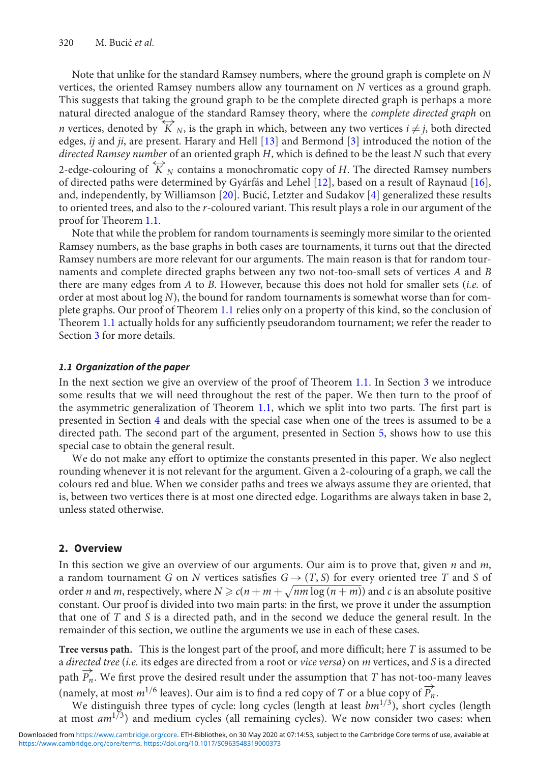Note that unlike for the standard Ramsey numbers, where the ground graph is complete on *N* vertices, the oriented Ramsey numbers allow any tournament on *N* vertices as a ground graph. This suggests that taking the ground graph to be the complete directed graph is perhaps a more natural directed analogue of the standard Ramsey theory, where the *complete directed graph* on *n* vertices, denoted by  $\overleftrightarrow{K}_N$ , is the graph in which, between any two vertices  $i \neq j$ , both directed edges, *ij* and *ji*, are present. Harary and Hell [\[13\]](#page-27-8) and Bermond [\[3\]](#page-27-9) introduced the notion of the *directed Ramsey number* of an oriented graph *H*, which is defined to be the least *N* such that every 2-edge-colouring of  $\overleftrightarrow{K}_N$  contains a monochromatic copy of *H*. The directed Ramsey numbers of directed paths were determined by Gyárfás and Lehel [\[12\]](#page-27-10), based on a result of Raynaud [\[16\]](#page-27-11), and, independently, by Williamson  $[20]$ . Bucić, Letzter and Sudakov  $[4]$  $[4]$  generalized these results to oriented trees, and also to the *r*-coloured variant. This result plays a role in our argument of the proof for Theorem [1.1.](#page-1-0)

Note that while the problem for random tournaments is seemingly more similar to the oriented Ramsey numbers, as the base graphs in both cases are tournaments, it turns out that the directed Ramsey numbers are more relevant for our arguments. The main reason is that for random tournaments and complete directed graphs between any two not-too-small sets of vertices *A* and *B* there are many edges from *A* to *B*. However, because this does not hold for smaller sets (*i.e.* of order at most about log *N*), the bound for random tournaments is somewhat worse than for complete graphs. Our proof of Theorem [1.1](#page-1-0) relies only on a property of this kind, so the conclusion of Theorem [1.1](#page-1-0) actually holds for any sufficiently pseudorandom tournament; we refer the reader to Section [3](#page-4-0) for more details.

#### *1.1 Organization of the paper*

In the next section we give an overview of the proof of Theorem [1.1.](#page-1-0) In Section [3](#page-4-0) we introduce some results that we will need throughout the rest of the paper. We then turn to the proof of the asymmetric generalization of Theorem [1.1,](#page-1-0) which we split into two parts. The first part is presented in Section [4](#page-7-0) and deals with the special case when one of the trees is assumed to be a directed path. The second part of the argument, presented in Section [5,](#page-20-0) shows how to use this special case to obtain the general result.

We do not make any effort to optimize the constants presented in this paper. We also neglect rounding whenever it is not relevant for the argument. Given a 2-colouring of a graph, we call the colours red and blue. When we consider paths and trees we always assume they are oriented, that is, between two vertices there is at most one directed edge. Logarithms are always taken in base 2, unless stated otherwise.

# **2. Overview**

In this section we give an overview of our arguments. Our aim is to prove that, given *n* and *m*, a random tournament *G* on *N* vertices satisfies  $G \rightarrow (T, S)$  for every oriented tree *T* and *S* of order *n* and *m*, respectively, where  $N \geqslant c(n+m+\sqrt{nm\log{(n+m)}})$  and *c* is an absolute positive constant. Our proof is divided into two main parts: in the first, we prove it under the assumption that one of *T* and *S* is a directed path, and in the second we deduce the general result. In the remainder of this section, we outline the arguments we use in each of these cases.

**Tree versus path.** This is the longest part of the proof, and more difficult; here *T* is assumed to be a *directed tree* (*i.e.* its edges are directed from a root or *vice versa*) on *m* vertices, and *S* is a directed path  $\overrightarrow{P_n}$ . We first prove the desired result under the assumption that *T* has not-too-many leaves (namely, at most  $m^{1/6}$  leaves). Our aim is to find a red copy of *T* or a blue copy of  $\overrightarrow{P_n}$ .

We distinguish three types of cycle: long cycles (length at least *bm*<sup>1/3</sup>), short cycles (length at most  $am^{1/3}$ ) and medium cycles (all remaining cycles). We now consider two cases: when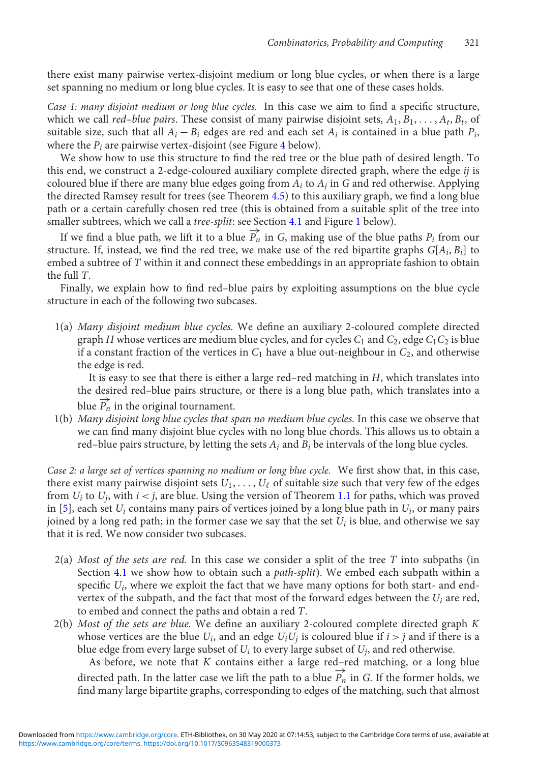there exist many pairwise vertex-disjoint medium or long blue cycles, or when there is a large set spanning no medium or long blue cycles. It is easy to see that one of these cases holds.

*Case 1: many disjoint medium or long blue cycles.* In this case we aim to find a specific structure, which we call *red–blue pairs*. These consist of many pairwise disjoint sets, *A*1, *B*1, ... , *At*, *Bt*, of suitable size, such that all  $A_i - B_i$  edges are red and each set  $A_i$  is contained in a blue path  $P_i$ , where the  $P_i$  are pairwise vertex-disjoint (see Figure [4](#page-11-0) below).

We show how to use this structure to find the red tree or the blue path of desired length. To this end, we construct a 2-edge-coloured auxiliary complete directed graph, where the edge *ij* is coloured blue if there are many blue edges going from  $A_i$  to  $A_j$  in  $G$  and red otherwise. Applying the directed Ramsey result for trees (see Theorem [4.5\)](#page-10-0) to this auxiliary graph, we find a long blue path or a certain carefully chosen red tree (this is obtained from a suitable split of the tree into smaller subtrees, which we call a *tree-split*: see Section [4.1](#page-7-1) and Figure [1](#page-8-0) below).

If we find a blue path, we lift it to a blue  $P'_n$  in *G*, making use of the blue paths  $P_i$  from our structure. If, instead, we find the red tree, we make use of the red bipartite graphs  $G[A_i, B_i]$  to embed a subtree of *T* within it and connect these embeddings in an appropriate fashion to obtain the full *T*.

Finally, we explain how to find red–blue pairs by exploiting assumptions on the blue cycle structure in each of the following two subcases.

1(a) *Many disjoint medium blue cycles.* We define an auxiliary 2-coloured complete directed graph *H* whose vertices are medium blue cycles, and for cycles  $C_1$  and  $C_2$ , edge  $C_1C_2$  is blue if a constant fraction of the vertices in  $C_1$  have a blue out-neighbour in  $C_2$ , and otherwise the edge is red.

It is easy to see that there is either a large red–red matching in *H*, which translates into the desired red–blue pairs structure, or there is a long blue path, which translates into a blue  $\overrightarrow{P_n}$  in the original tournament.

1(b) *Many disjoint long blue cycles that span no medium blue cycles.* In this case we observe that we can find many disjoint blue cycles with no long blue chords. This allows us to obtain a red–blue pairs structure, by letting the sets *Ai* and *Bi* be intervals of the long blue cycles.

*Case 2: a large set of vertices spanning no medium or long blue cycle.* We first show that, in this case, there exist many pairwise disjoint sets  $U_1, \ldots, U_\ell$  of suitable size such that very few of the edges from  $U_i$  to  $U_j$ , with  $i < j$ , are blue. Using the version of Theorem [1.1](#page-1-0) for paths, which was proved in [\[5\]](#page-27-7), each set  $U_i$  contains many pairs of vertices joined by a long blue path in  $U_i$ , or many pairs joined by a long red path; in the former case we say that the set  $U_i$  is blue, and otherwise we say that it is red. We now consider two subcases.

- 2(a) *Most of the sets are red.* In this case we consider a split of the tree *T* into subpaths (in Section [4.1](#page-7-1) we show how to obtain such a *path-split*). We embed each subpath within a specific *Ui*, where we exploit the fact that we have many options for both start- and endvertex of the subpath, and the fact that most of the forward edges between the *Ui* are red, to embed and connect the paths and obtain a red *T*.
- 2(b) *Most of the sets are blue.* We define an auxiliary 2-coloured complete directed graph *K* whose vertices are the blue  $U_i$ , and an edge  $U_iU_j$  is coloured blue if  $i > j$  and if there is a blue edge from every large subset of *Ui* to every large subset of *Uj*, and red otherwise.

As before, we note that *K* contains either a large red–red matching, or a long blue directed path. In the latter case we lift the path to a blue  $\overrightarrow{P_n}$  in *G*. If the former holds, we find many large bipartite graphs, corresponding to edges of the matching, such that almost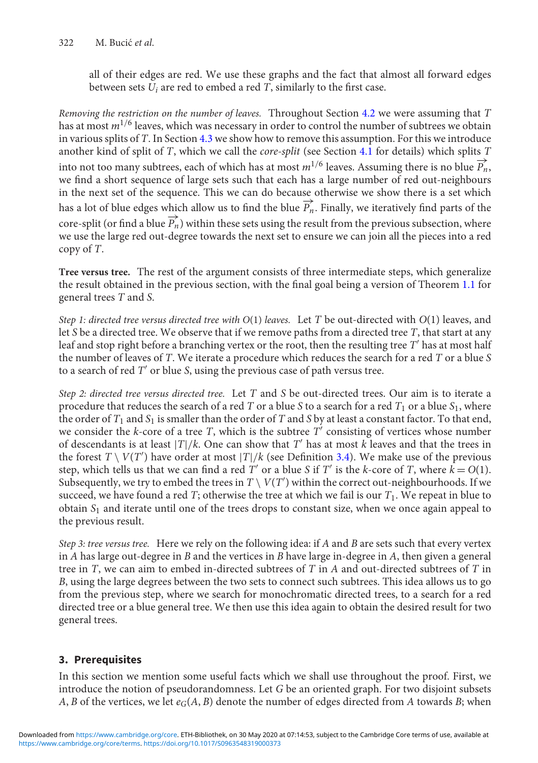all of their edges are red. We use these graphs and the fact that almost all forward edges between sets *Ui* are red to embed a red *T*, similarly to the first case.

*Removing the restriction on the number of leaves.* Throughout Section [4.2](#page-10-1) we were assuming that *T* has at most *m*1/<sup>6</sup> leaves, which was necessary in order to control the number of subtrees we obtain in various splits of *T*. In Section [4.3](#page-19-0) we show how to remove this assumption. For this we introduce another kind of split of *T*, which we call the *core-split* (see Section [4.1](#page-7-1) for details) which splits *T* into not too many subtrees, each of which has at most  $m^{1/6}$  leaves. Assuming there is no blue  $\overrightarrow{P_n}$ , we find a short sequence of large sets such that each has a large number of red out-neighbours in the next set of the sequence. This we can do because otherwise we show there is a set which has a lot of blue edges which allow us to find the blue  $\overrightarrow{P_n}$ . Finally, we iteratively find parts of the core-split (or find a blue  $\overrightarrow{P_n}$ ) within these sets using the result from the previous subsection, where we use the large red out-degree towards the next set to ensure we can join all the pieces into a red copy of *T*.

**Tree versus tree.** The rest of the argument consists of three intermediate steps, which generalize the result obtained in the previous section, with the final goal being a version of Theorem [1.1](#page-1-0) for general trees *T* and *S*.

*Step 1: directed tree versus directed tree with O*(1) *leaves.* Let *T* be out-directed with *O*(1) leaves, and let *S* be a directed tree. We observe that if we remove paths from a directed tree *T*, that start at any leaf and stop right before a branching vertex or the root, then the resulting tree *T'* has at most half the number of leaves of *T*. We iterate a procedure which reduces the search for a red *T* or a blue *S* to a search of red T' or blue *S*, using the previous case of path versus tree.

*Step 2: directed tree versus directed tree.* Let *T* and *S* be out-directed trees. Our aim is to iterate a procedure that reduces the search of a red *T* or a blue *S* to a search for a red  $T_1$  or a blue  $S_1$ , where the order of  $T_1$  and  $S_1$  is smaller than the order of  $T$  and  $S$  by at least a constant factor. To that end, we consider the  $k$ -core of a tree  $T$ , which is the subtree  $T'$  consisting of vertices whose number of descendants is at least  $|T|/k$ . One can show that T' has at most k leaves and that the trees in the forest  $T \setminus V(T')$  have order at most  $|T|/k$  (see Definition [3.4\)](#page-6-0). We make use of the previous step, which tells us that we can find a red *T'* or a blue *S* if *T'* is the *k*-core of *T*, where  $k = O(1)$ . Subsequently, we try to embed the trees in  $T \setminus V(T')$  within the correct out-neighbourhoods. If we succeed, we have found a red *T*; otherwise the tree at which we fail is our *T*1. We repeat in blue to obtain *S*<sup>1</sup> and iterate until one of the trees drops to constant size, when we once again appeal to the previous result.

*Step 3: tree versus tree.* Here we rely on the following idea: if *A* and *B* are sets such that every vertex in *A* has large out-degree in *B* and the vertices in *B* have large in-degree in *A*, then given a general tree in *T*, we can aim to embed in-directed subtrees of *T* in *A* and out-directed subtrees of *T* in *B*, using the large degrees between the two sets to connect such subtrees. This idea allows us to go from the previous step, where we search for monochromatic directed trees, to a search for a red directed tree or a blue general tree. We then use this idea again to obtain the desired result for two general trees.

# <span id="page-4-0"></span>**3. Prerequisites**

In this section we mention some useful facts which we shall use throughout the proof. First, we introduce the notion of pseudorandomness. Let *G* be an oriented graph. For two disjoint subsets *A*, *B* of the vertices, we let  $e_G(A, B)$  denote the number of edges directed from *A* towards *B*; when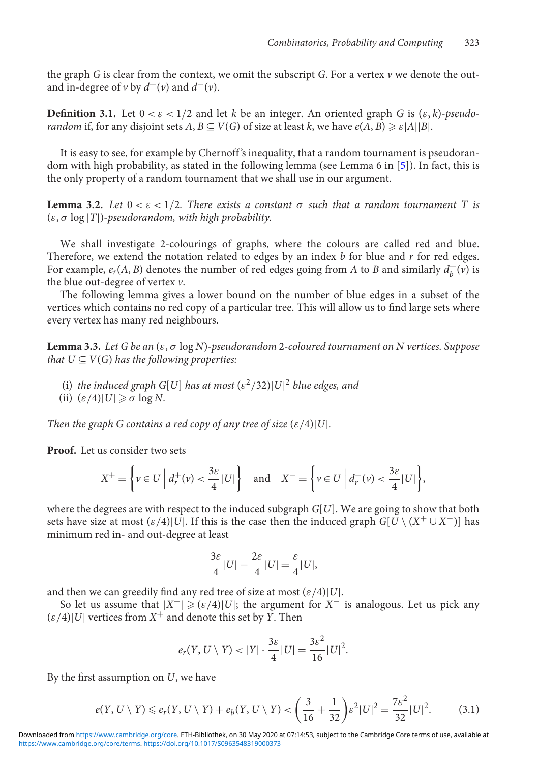the graph *G* is clear from the context, we omit the subscript *G*. For a vertex *v* we denote the outand in-degree of *v* by  $d^+(v)$  and  $d^-(v)$ .

**Definition 3.1.** Let  $0 < \varepsilon < 1/2$  and let *k* be an integer. An oriented graph *G* is  $(\varepsilon, k)$ -pseudo*random* if, for any disjoint sets  $A, B \subseteq V(G)$  of size at least *k*, we have  $e(A, B) \geqslant \varepsilon |A||B|$ .

It is easy to see, for example by Chernoff 's inequality, that a random tournament is pseudorandom with high probability, as stated in the following lemma (see Lemma 6 in [\[5\]](#page-27-7)). In fact, this is the only property of a random tournament that we shall use in our argument.

**Lemma 3.2.** Let  $0 < \varepsilon < 1/2$ . There exists a constant  $\sigma$  such that a random tournament T is (ε, σ log |*T*|)*-pseudorandom, with high probability.*

We shall investigate 2-colourings of graphs, where the colours are called red and blue. Therefore, we extend the notation related to edges by an index *b* for blue and *r* for red edges. For example,  $e_r(A, B)$  denotes the number of red edges going from *A* to *B* and similarly  $d_b^+(v)$  is the blue out-degree of vertex *v*.

The following lemma gives a lower bound on the number of blue edges in a subset of the vertices which contains no red copy of a particular tree. This will allow us to find large sets where every vertex has many red neighbours.

<span id="page-5-1"></span>**Lemma 3.3.** *Let G be an* (ε, σ log *N*)*-pseudorandom* 2*-coloured tournament on N vertices. Suppose that*  $U \subseteq V(G)$  *has the following properties:* 

- (i) *the induced graph G*[*U*] *has at most*  $(\varepsilon^2/32)|U|^2$  *blue edges, and*
- (ii)  $(\varepsilon/4)|U| \geq \sigma \log N$ .

*Then the graph G contains a red copy of any tree of size*  $(\varepsilon/4)|U|$ *.* 

**Proof.** Let us consider two sets

$$
X^+ = \left\{ v \in U \middle| d_r^+(v) < \frac{3\varepsilon}{4} |U| \right\} \quad \text{and} \quad X^- = \left\{ v \in U \middle| d_r^-(v) < \frac{3\varepsilon}{4} |U| \right\},
$$

where the degrees are with respect to the induced subgraph *G*[*U*]. We are going to show that both sets have size at most  $(\varepsilon/4)|U|$ . If this is the case then the induced graph *G*[*U* \ ( $X^+ \cup X^-$ )] has minimum red in- and out-degree at least

$$
\frac{3\varepsilon}{4}|U| - \frac{2\varepsilon}{4}|U| = \frac{\varepsilon}{4}|U|,
$$

and then we can greedily find any red tree of size at most  $(\varepsilon/4)|U|$ .

So let us assume that  $|X^+| \geqslant (\varepsilon/4)|U|$ ; the argument for  $X^-$  is analogous. Let us pick any  $(\varepsilon/4)|U|$  vertices from  $X^+$  and denote this set by *Y*. Then

$$
e_r(Y, U \setminus Y) < |Y| \cdot \frac{3\varepsilon}{4} |U| = \frac{3\varepsilon^2}{16} |U|^2.
$$

By the first assumption on *U*, we have

<span id="page-5-0"></span>
$$
e(Y, U \setminus Y) \leq e_r(Y, U \setminus Y) + e_b(Y, U \setminus Y) < \left(\frac{3}{16} + \frac{1}{32}\right) \varepsilon^2 |U|^2 = \frac{7\varepsilon^2}{32} |U|^2. \tag{3.1}
$$

[https://www.cambridge.org/core/terms.](https://www.cambridge.org/core/terms) <https://doi.org/10.1017/S0963548319000373> Downloaded from [https://www.cambridge.org/core.](https://www.cambridge.org/core) ETH-Bibliothek, on 30 May 2020 at 07:14:53, subject to the Cambridge Core terms of use, available at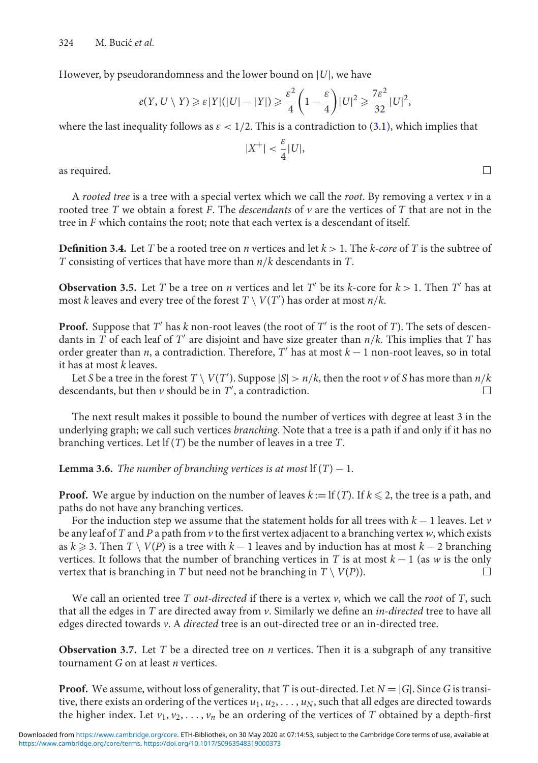However, by pseudorandomness and the lower bound on |*U*|, we have

$$
e(Y, U \setminus Y) \ge \varepsilon |Y|(|U| - |Y|) \ge \frac{\varepsilon^2}{4} \left(1 - \frac{\varepsilon}{4}\right) |U|^2 \ge \frac{7\varepsilon^2}{32} |U|^2
$$

where the last inequality follows as  $\varepsilon < 1/2$ . This is a contradiction to [\(3.1\)](#page-5-0), which implies that

$$
|X^+| < \frac{\varepsilon}{4}|U|,
$$

as required.

A *rooted tree* is a tree with a special vertex which we call the *root*. By removing a vertex *v* in a rooted tree *T* we obtain a forest *F*. The *descendants* of *v* are the vertices of *T* that are not in the tree in *F* which contains the root; note that each vertex is a descendant of itself.

<span id="page-6-0"></span>**Definition 3.4.** Let *T* be a rooted tree on *n* vertices and let  $k > 1$ . The *k-core* of *T* is the subtree of *T* consisting of vertices that have more than *n*/*k* descendants in *T*.

<span id="page-6-2"></span>**Observation 3.5.** Let *T* be a tree on *n* vertices and let *T'* be its *k*-core for  $k > 1$ . Then *T'* has at most *k* leaves and every tree of the forest  $T \setminus V(T')$  has order at most  $n/k$ .

**Proof.** Suppose that  $T'$  has  $k$  non-root leaves (the root of  $T'$  is the root of  $T$ ). The sets of descendants in *T* of each leaf of *T'* are disjoint and have size greater than  $n/k$ . This implies that *T* has order greater than *n*, a contradiction. Therefore, *T* has at most *k* − 1 non-root leaves, so in total it has at most *k* leaves.

Let *S* be a tree in the forest  $T \setminus V(T')$ . Suppose  $|S| > n/k$ , then the root  $\nu$  of *S* has more than  $n/k$ descendants, but then *v* should be in *T* , a contradiction.  $\Box$ 

The next result makes it possible to bound the number of vertices with degree at least 3 in the underlying graph; we call such vertices *branching*. Note that a tree is a path if and only if it has no branching vertices. Let lf (*T*) be the number of leaves in a tree *T*.

<span id="page-6-1"></span>**Lemma 3.6.** *The number of branching vertices is at most*  $If(T) - 1$ *.* 

**Proof.** We argue by induction on the number of leaves  $k := \text{If } (T)$ . If  $k \leq 2$ , the tree is a path, and paths do not have any branching vertices.

For the induction step we assume that the statement holds for all trees with *k* − 1 leaves. Let *v* be any leaf of *T* and *P* a path from *v* to the first vertex adjacent to a branching vertex *w*, which exists as  $k \ge 3$ . Then  $T \setminus V(P)$  is a tree with  $k-1$  leaves and by induction has at most  $k-2$  branching vertices. It follows that the number of branching vertices in *T* is at most *k* − 1 (as *w* is the only vertex that is branching in *T* but need not be branching in  $T \setminus V(P)$ .  $\Box$ 

We call an oriented tree *T out-directed* if there is a vertex *v*, which we call the *root* of *T*, such that all the edges in *T* are directed away from *v*. Similarly we define an *in-directed* tree to have all edges directed towards *v*. A *directed* tree is an out-directed tree or an in-directed tree.

<span id="page-6-3"></span>**Observation 3.7.** Let *T* be a directed tree on *n* vertices. Then it is a subgraph of any transitive tournament *G* on at least *n* vertices.

**Proof.** We assume, without loss of generality, that *T* is out-directed. Let  $N = |G|$ . Since *G* is transitive, there exists an ordering of the vertices  $u_1, u_2, \ldots, u_N$ , such that all edges are directed towards the higher index. Let  $v_1, v_2, \ldots, v_n$  be an ordering of the vertices of *T* obtained by a depth-first

 $\Box$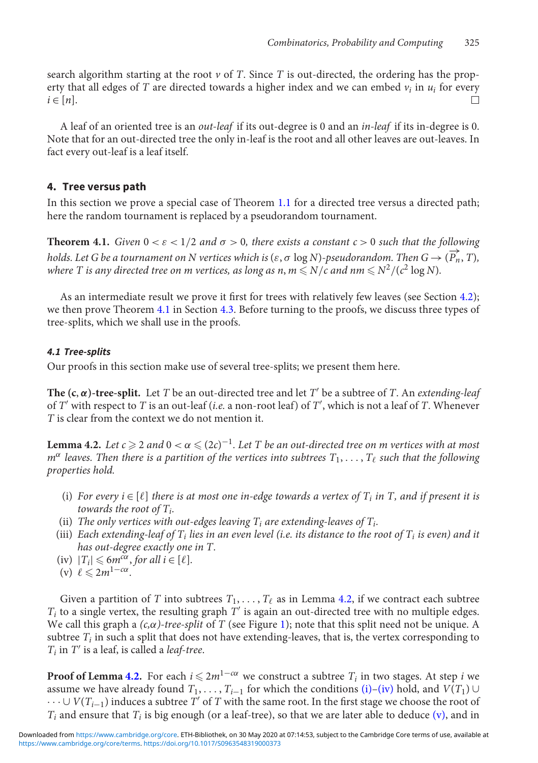search algorithm starting at the root  $\nu$  of *T*. Since *T* is out-directed, the ordering has the property that all edges of *T* are directed towards a higher index and we can embed  $v_i$  in  $u_i$  for every  $i \in [n]$ .  $\Box$ 

A leaf of an oriented tree is an *out-leaf* if its out-degree is 0 and an *in-leaf* if its in-degree is 0. Note that for an out-directed tree the only in-leaf is the root and all other leaves are out-leaves. In fact every out-leaf is a leaf itself.

# <span id="page-7-0"></span>**4. Tree versus path**

In this section we prove a special case of Theorem [1.1](#page-1-0) for a directed tree versus a directed path; here the random tournament is replaced by a pseudorandom tournament.

<span id="page-7-2"></span>**Theorem 4.1.** *Given*  $0 < \varepsilon < 1/2$  *and*  $\sigma > 0$ *, there exists a constant*  $c > 0$  *such that the following holds. Let G be a tournament on N vertices which is* ( $\varepsilon$ ,  $\sigma$  log *N*)*-pseudorandom. Then*  $G \rightarrow (\overrightarrow{P_n}, T)$ *,* where T is any directed tree on m vertices, as long as n,  $m$   $\leqslant$  N/c and nm  $\leqslant$  N<sup>2</sup>/(c<sup>2</sup> log N).

As an intermediate result we prove it first for trees with relatively few leaves (see Section [4.2\)](#page-10-1); we then prove Theorem [4.1](#page-7-2) in Section [4.3.](#page-19-0) Before turning to the proofs, we discuss three types of tree-splits, which we shall use in the proofs.

#### <span id="page-7-1"></span>*4.1 Tree-splits*

Our proofs in this section make use of several tree-splits; we present them here.

**The (c,**  $\alpha$ **)-tree-split.** Let *T* be an out-directed tree and let *T'* be a subtree of *T*. An *extending-leaf* of *T* with respect to *T* is an out-leaf (*i.e.* a non-root leaf) of *T* , which is not a leaf of *T*. Whenever *T* is clear from the context we do not mention it.

<span id="page-7-3"></span>**Lemma 4.2.** Let c  $\geqslant$  2 and 0 <  $\alpha$   $\leqslant$  (2c) $^{-1}$ . Let T be an out-directed tree on m vertices with at most  $m^\alpha$  *leaves. Then there is a partition of the vertices into subtrees*  $T_1,\ldots,T_\ell$  *such that the following properties hold.*

- <span id="page-7-4"></span>(i) For every  $i \in [\ell]$  there is at most one in-edge towards a vertex of  $T_i$  in T, and if present it is *towards the root of Ti.*
- <span id="page-7-8"></span><span id="page-7-7"></span>(ii) *The only vertices with out-edges leaving*  $T_i$  *are extending-leaves of*  $T_i$ *.*
- (iii) *Each extending-leaf of Ti lies in an even level (i.e. its distance to the root of Ti is even) and it has out-degree exactly one in T.*
- <span id="page-7-6"></span><span id="page-7-5"></span> $(iv)$   $|T_i| \leq 6m^{c\alpha}$ , *for all i*  $\in [\ell]$ .
- $(v) \ell \leq 2m^{1-c\alpha}$ .

Given a partition of *T* into subtrees  $T_1, \ldots, T_\ell$  as in Lemma [4.2,](#page-7-3) if we contract each subtree  $T_i$  to a single vertex, the resulting graph  $T'$  is again an out-directed tree with no multiple edges. We call this graph a  $(c, \alpha)$ -tree-split of *T* (see Figure [1\)](#page-8-0); note that this split need not be unique. A subtree  $T_i$  in such a split that does not have extending-leaves, that is, the vertex corresponding to  $T_i$  in  $T'$  is a leaf, is called a *leaf-tree*.

**Proof of Lemma [4.2.](#page-7-3)** For each  $i$   $\leqslant 2m^{1-\alpha\alpha}$  we construct a subtree  $T_i$  in two stages. At step  $i$  we assume we have already found  $T_1, \ldots, T_{i-1}$  for which the conditions [\(i\)–](#page-7-4)[\(iv\)](#page-7-5) hold, and  $V(T_1) \cup$  $\cdots$ ∪ *V*( $T_{i-1}$ ) induces a subtree *T'* of *T* with the same root. In the first stage we choose the root of  $T_i$  and ensure that  $T_i$  is big enough (or a leaf-tree), so that we are later able to deduce  $(v)$ , and in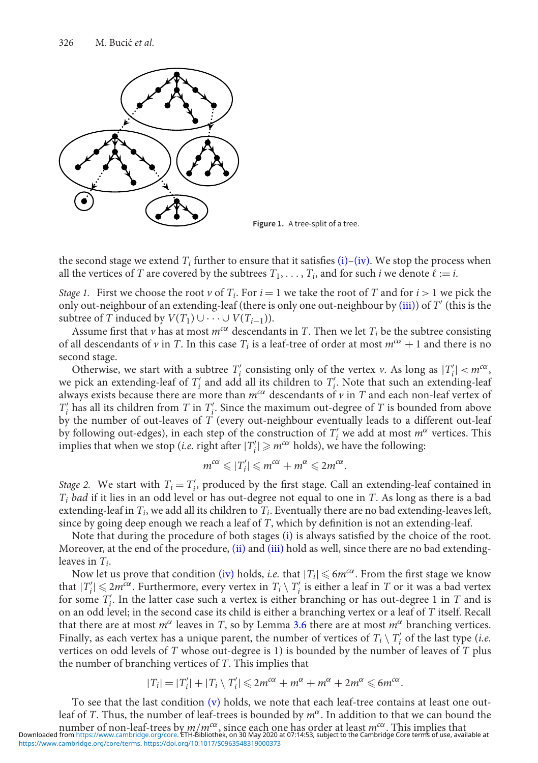<span id="page-8-0"></span>

**Figure 1.** A tree-split of a tree.

the second stage we extend  $T_i$  further to ensure that it satisfies  $(i)$ [–\(iv\).](#page-7-5) We stop the process when all the vertices of *T* are covered by the subtrees  $T_1, \ldots, T_i$ , and for such *i* we denote  $\ell := i$ .

*Stage 1.* First we choose the root *v* of  $T_i$ . For  $i = 1$  we take the root of *T* and for  $i > 1$  we pick the only out-neighbour of an extending-leaf (there is only one out-neighbour by [\(iii\)\)](#page-7-7) of *T* (this is the subtree of *T* induced by  $V(T_1) \cup \cdots \cup V(T_{i-1})$ ).

Assume first that *v* has at most  $m^{c\alpha}$  descendants in *T*. Then we let  $T_i$  be the subtree consisting of all descendants of *v* in *T*. In this case  $T_i$  is a leaf-tree of order at most  $m^{c\alpha} + 1$  and there is no second stage.

Otherwise, we start with a subtree  $T'_i$  consisting only of the vertex *v*. As long as  $|T'_i| < m^{c\alpha}$ , we pick an extending-leaf of  $T_i'$  and add all its children to  $T_i'$ . Note that such an extending-leaf always exists because there are more than  $m^{c\alpha}$  descendants of  $\nu$  in *T* and each non-leaf vertex of  $T'_{i}$  has all its children from *T* in  $T'_{i}$ . Since the maximum out-degree of *T* is bounded from above by the number of out-leaves of *T* (every out-neighbour eventually leads to a different out-leaf by following out-edges), in each step of the construction of *T <sup>i</sup>* we add at most *<sup>m</sup>*<sup>α</sup> vertices. This implies that when we stop (*i.e.* right after  $|T'_i| \geq m^{c\alpha}$  holds), we have the following:

$$
m^{c\alpha} \leqslant |T'_i| \leqslant m^{c\alpha} + m^{\alpha} \leqslant 2m^{c\alpha}.
$$

*Stage 2.* We start with  $T_i = T'_i$ , produced by the first stage. Call an extending-leaf contained in *Ti bad* if it lies in an odd level or has out-degree not equal to one in *T*. As long as there is a bad extending-leaf in *Ti*, we add all its children to *Ti*. Eventually there are no bad extending-leaves left, since by going deep enough we reach a leaf of *T*, which by definition is not an extending-leaf.

Note that during the procedure of both stages [\(i\)](#page-7-4) is always satisfied by the choice of the root. Moreover, at the end of the procedure, [\(ii\)](#page-7-8) and [\(iii\)](#page-7-7) hold as well, since there are no bad extendingleaves in *Ti*.

Now let us prove that condition [\(iv\)](#page-7-5) holds, *i.e.* that  $|T_i| \leqslant 6m^{c\alpha}$ . From the first stage we know that  $|T'_i| \leqslant 2m^{\tilde{c}\alpha}$ . Furthermore, every vertex in  $T_i \setminus T'_i$  is either a leaf in  $T$  or it was a bad vertex for some *T <sup>i</sup>*. In the latter case such a vertex is either branching or has out-degree 1 in *T* and is on an odd level; in the second case its child is either a branching vertex or a leaf of *T* itself. Recall that there are at most  $m^{\alpha}$  leaves in *T*, so by Lemma [3.6](#page-6-1) there are at most  $m^{\alpha}$  branching vertices. Finally, as each vertex has a unique parent, the number of vertices of  $T_i \setminus T'_i$  of the last type (*i.e.* vertices on odd levels of *T* whose out-degree is 1) is bounded by the number of leaves of *T* plus the number of branching vertices of *T*. This implies that

$$
|T_i| = |T'_i| + |T_i \setminus T'_i| \leq 2m^{c\alpha} + m^{\alpha} + m^{\alpha} + 2m^{\alpha} \leq 6m^{c\alpha}.
$$

To see that the last condition [\(v\)](#page-7-6) holds, we note that each leaf-tree contains at least one outleaf of *T*. Thus, the number of leaf-trees is bounded by  $m^{\alpha}$ . In addition to that we can bound the nu[mber of non-leaf-trees b](https://www.cambridge.org/core)y  $m/m<sup>cc</sup>$ , since each one has order at least  $m<sup>cc</sup>$ . This implies that<br>Downloaded from https://www.cambridge.org/core. ETH-Bibliothek, on 30 May 2020 at 07:14:53, subject to the Cambridge [https://www.cambridge.org/core/terms.](https://www.cambridge.org/core/terms) <https://doi.org/10.1017/S0963548319000373>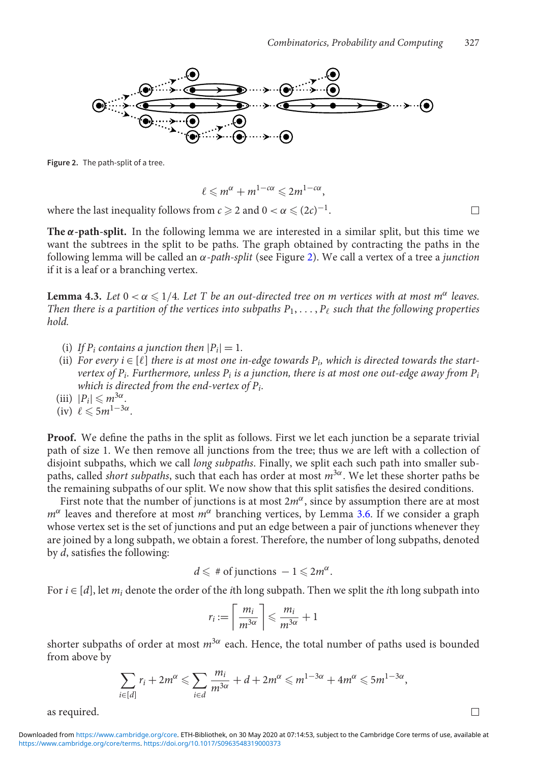<span id="page-9-0"></span>

**Figure 2.** The path-split of a tree.

$$
\ell \leqslant m^{\alpha}+m^{1-c\alpha}\leqslant 2m^{1-c\alpha},
$$

where the last inequality follows from  $c\geqslant 2$  and  $0<\alpha\leqslant (2c)^{-1}.$ 

The  $\alpha$ -path-split. In the following lemma we are interested in a similar split, but this time we want the subtrees in the split to be paths. The graph obtained by contracting the paths in the following lemma will be called an α-*path-split* (see Figure [2\)](#page-9-0). We call a vertex of a tree a *junction* if it is a leaf or a branching vertex.

<span id="page-9-1"></span>**Lemma 4.3.** Let  $0 < \alpha \leqslant 1/4$ . Let T be an out-directed tree on m vertices with at most m<sup>α</sup> leaves. Then there is a partition of the vertices into subpaths  $P_1,\ldots,P_\ell$  such that the following properties *hold.*

- (i) If  $P_i$  contains a junction then  $|P_i| = 1$ .
- (ii) For every  $i \in [\ell]$  there is at most one in-edge towards  $P_i$ , which is directed towards the start*vertex of Pi. Furthermore, unless Pi is a junction, there is at most one out-edge away from Pi which is directed from the end-vertex of Pi.*
- (iii)  $|P_i| \le m^{3\alpha}$ .
- $(iv) \ell \leqslant 5m^{1-3\alpha}.$

**Proof.** We define the paths in the split as follows. First we let each junction be a separate trivial path of size 1. We then remove all junctions from the tree; thus we are left with a collection of disjoint subpaths, which we call *long subpaths*. Finally, we split each such path into smaller subpaths, called *short subpaths*, such that each has order at most *m*3α. We let these shorter paths be the remaining subpaths of our split. We now show that this split satisfies the desired conditions.

First note that the number of junctions is at most  $2m^{\alpha}$ , since by assumption there are at most  $m^{\alpha}$  leaves and therefore at most  $m^{\alpha}$  branching vertices, by Lemma [3.6.](#page-6-1) If we consider a graph whose vertex set is the set of junctions and put an edge between a pair of junctions whenever they are joined by a long subpath, we obtain a forest. Therefore, the number of long subpaths, denoted by *d*, satisfies the following:

$$
d \leqslant \# \text{ of junctions } -1 \leqslant 2m^{\alpha}.
$$

For *i* ∈ [*d*], let *mi* denote the order of the *i*th long subpath. Then we split the *i*th long subpath into

$$
r_i := \left\lceil \frac{m_i}{m^{3\alpha}} \right\rceil \leqslant \frac{m_i}{m^{3\alpha}} + 1
$$

shorter subpaths of order at most  $m^{3\alpha}$  each. Hence, the total number of paths used is bounded from above by

$$
\sum_{i\in[d]} r_i+2m^{\alpha}\leqslant \sum_{i\in d}\frac{m_i}{m^{3\alpha}}+d+2m^{\alpha}\leqslant m^{1-3\alpha}+4m^{\alpha}\leqslant 5m^{1-3\alpha},
$$

as required.

[https://www.cambridge.org/core/terms.](https://www.cambridge.org/core/terms) <https://doi.org/10.1017/S0963548319000373> Downloaded from [https://www.cambridge.org/core.](https://www.cambridge.org/core) ETH-Bibliothek, on 30 May 2020 at 07:14:53, subject to the Cambridge Core terms of use, available at

 $\Box$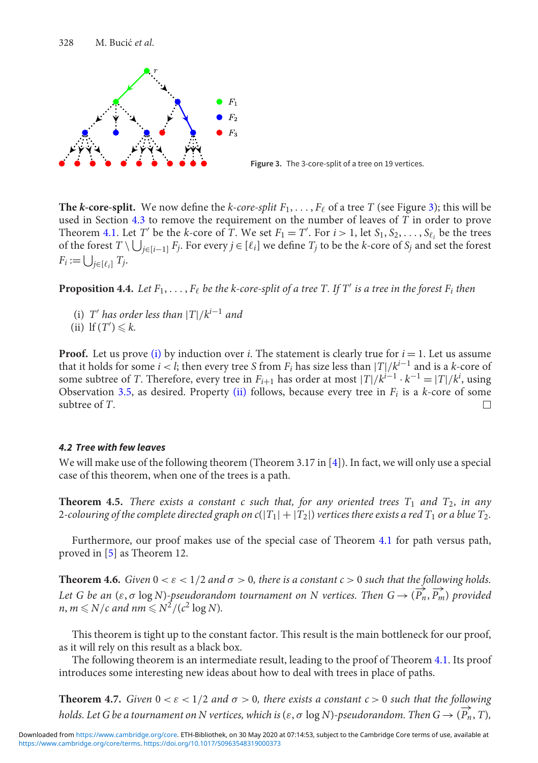<span id="page-10-2"></span>

**Figure 3.** The 3-core-split of a tree on 19 vertices.

The *k*-core-split. We now define the *k*-core-split  $F_1, \ldots, F_\ell$  of a tree *T* (see Figure [3\)](#page-10-2); this will be used in Section [4.3](#page-19-0) to remove the requirement on the number of leaves of *T* in order to prove Theorem [4.1.](#page-7-2) Let *T'* be the *k*-core of  $\hat{T}$ . We set  $F_1 = T'$ . For  $i > 1$ , let  $S_1, S_2, \ldots, S_{\ell_i}$  be the trees of the forest  $T \setminus \bigcup_{j \in [i-1]} F_j$ . For every  $j \in [\ell_i]$  we define  $T_j$  to be the *k*-core of  $S_j$  and set the forest  $F_i := \bigcup_{j \in [\ell_i]} T_j.$ 

<span id="page-10-7"></span><span id="page-10-3"></span>**Proposition 4.4.** Let  $F_1, \ldots, F_\ell$  be the k-core-split of a tree T. If T' is a tree in the forest  $F_i$  then

- <span id="page-10-4"></span>(i) *T'* has order less than  $|T|/k^{i-1}$  and
- (ii) If  $(T') \le k$ .

**Proof.** Let us prove [\(i\)](#page-10-3) by induction over *i*. The statement is clearly true for  $i = 1$ . Let us assume that it holds for some *i* < *l*; then every tree *S* from  $F_i$  has size less than  $|T|/k^{i-1}$  and is a *k*-core of some subtree of *T*. Therefore, every tree in  $F_{i+1}$  has order at most  $|T|/k^{i-1} \cdot k^{-1} = |T|/k^i$ , using Observation [3.5,](#page-6-2) as desired. Property [\(ii\)](#page-10-4) follows, because every tree in *Fi* is a *k*-core of some subtree of *T*.  $\Box$ 

# <span id="page-10-1"></span>*4.2 Tree with few leaves*

We will make use of the following theorem (Theorem 3.17 in [\[4\]](#page-27-5)). In fact, we will only use a special case of this theorem, when one of the trees is a path.

<span id="page-10-0"></span>**Theorem 4.5.** *There exists a constant c such that, for any oriented trees*  $T_1$  *and*  $T_2$ *, in any* 2-colouring of the complete directed graph on  $c(|T_1|+|T_2|)$  vertices there exists a red  $T_1$  or a blue  $T_2$ .

Furthermore, our proof makes use of the special case of Theorem [4.1](#page-7-2) for path versus path, proved in [\[5\]](#page-27-7) as Theorem 12.

<span id="page-10-6"></span>**Theorem 4.6.** *Given*  $0 < \varepsilon < 1/2$  *and*  $\sigma > 0$ *, there is a constant*  $c > 0$  *such that the following holds. Let G be an* ( $\varepsilon$ ,  $\sigma$  log *N*)*-pseudorandom tournament on N vertices. Then*  $G \rightarrow (\overrightarrow{P_n}, \overrightarrow{P_m})$  *provided*  $n, m \leq N/c$  and  $nm \leq N^2/(c^2 \log N)$ .

This theorem is tight up to the constant factor. This result is the main bottleneck for our proof, as it will rely on this result as a black box.

The following theorem is an intermediate result, leading to the proof of Theorem [4.1.](#page-7-2) Its proof introduces some interesting new ideas about how to deal with trees in place of paths.

<span id="page-10-5"></span>**Theorem 4.7.** *Given*  $0 < \varepsilon < 1/2$  *and*  $\sigma > 0$ *, there exists a constant*  $c > 0$  *such that the following holds. Let G be a tournament on N vertices, which is* ( $\varepsilon$ ,  $\sigma$  log *N*)*-pseudorandom. Then*  $G \rightarrow (\overrightarrow{P_n}, T)$ *,*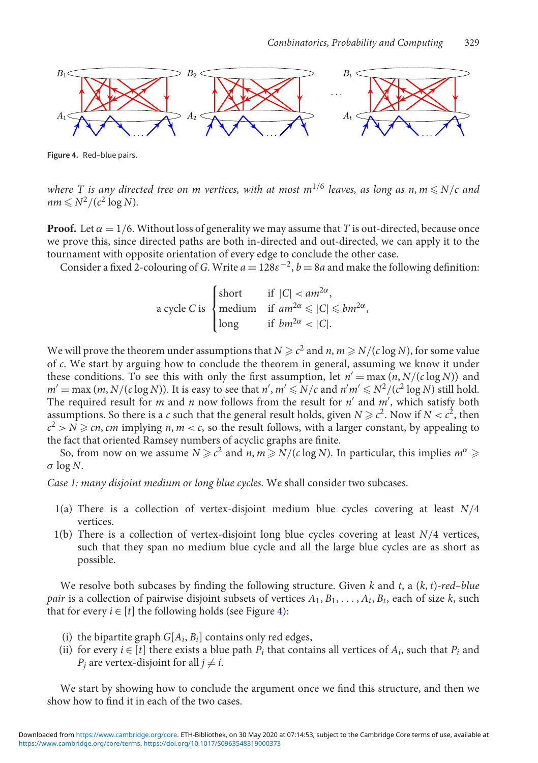<span id="page-11-0"></span>

**Figure 4.** Red–blue pairs.

where T is any directed tree on m vertices, with at most  $m^{1/6}$  leaves, as long as n,  $m$   $\leqslant$  N/c and  $nm \leq N^2/(c^2 \log N)$ .

**Proof.** Let  $\alpha = 1/6$ . Without loss of generality we may assume that *T* is out-directed, because once we prove this, since directed paths are both in-directed and out-directed, we can apply it to the tournament with opposite orientation of every edge to conclude the other case.

Consider a fixed 2-colouring of *G*. Write  $a = 128\varepsilon^{-2}$ ,  $b = 8a$  and make the following definition:

a cycle *C* is 
$$
\begin{cases} \text{short} & \text{if } |C| < am^{2\alpha}, \\ \text{medium} & \text{if } am^{2\alpha} \leq |C| \leq bm^{2\alpha}, \\ \text{long} & \text{if } bm^{2\alpha} < |C|. \end{cases}
$$

We will prove the theorem under assumptions that  $N \ge c^2$  and  $n, m \ge N/(c \log N)$ , for some value of *c*. We start by arguing how to conclude the theorem in general, assuming we know it under these conditions. To see this with only the first assumption, let  $n' = \max(n, N/(c \log N))$  and  $m' = \max(m, N/(c \log N))$ . It is easy to see that  $n', m' \leq N/c$  and  $n'm' \leq N^2/(c^2 \log N)$  still hold. The required result for *m* and *n* now follows from the result for *n'* and *m'*, which satisfy both assumptions. So there is a *c* such that the general result holds, given  $N \ge c^2$ . Now if  $N < c^2$ , then  $c^2 > N \geqslant cn$ , *cm* implying *n*, *m* < *c*, so the result follows, with a larger constant, by appealing to the fact that oriented Ramsey numbers of acyclic graphs are finite.

So, from now on we assume  $N \ge c^2$  and  $n, m \ge N/(c \log N)$ . In particular, this implies  $m^{\alpha} \ge$  $\sigma$  log *N*.

*Case 1: many disjoint medium or long blue cycles.* We shall consider two subcases.

- 1(a) There is a collection of vertex-disjoint medium blue cycles covering at least *N*/4 vertices.
- 1(b) There is a collection of vertex-disjoint long blue cycles covering at least *N*/4 vertices, such that they span no medium blue cycle and all the large blue cycles are as short as possible.

We resolve both subcases by finding the following structure. Given *k* and *t*,a(*k*, *t*)*-red–blue pair* is a collection of pairwise disjoint subsets of vertices  $A_1, B_1, \ldots, A_t, B_t$ , each of size *k*, such that for every  $i \in [t]$  the following holds (see Figure [4\)](#page-11-0):

- (i) the bipartite graph  $G[A_i, B_i]$  contains only red edges,
- (ii) for every  $i \in [t]$  there exists a blue path  $P_i$  that contains all vertices of  $A_i$ , such that  $P_i$  and  $P_i$  are vertex-disjoint for all  $j \neq i$ .

We start by showing how to conclude the argument once we find this structure, and then we show how to find it in each of the two cases.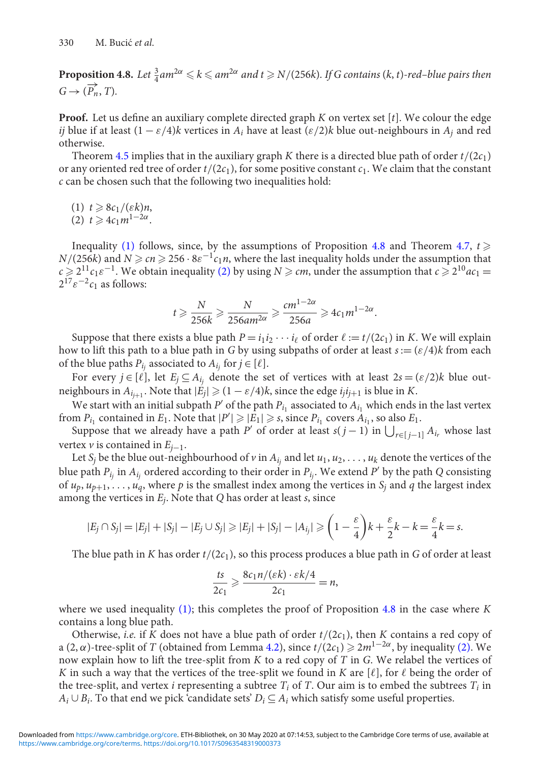<span id="page-12-1"></span>**Proposition 4.8.** Let  $\frac{3}{4}$  am<sup>2 $\alpha \le k \le am^{2\alpha}$  and  $t \ge N/(256k)$ . If G contains (k, t)-red–blue pairs then</sup>  $G \rightarrow (\overrightarrow{P_n}, T)$ .

**Proof.** Let us define an auxiliary complete directed graph *K* on vertex set [*t*]. We colour the edge *ij* blue if at least  $(1 - \varepsilon/4)$ *k* vertices in  $A_i$  have at least  $(\varepsilon/2)$ *k* blue out-neighbours in  $A_i$  and red otherwise.

Theorem [4.5](#page-10-0) implies that in the auxiliary graph *K* there is a directed blue path of order  $t/(2c_1)$ or any oriented red tree of order  $t/(2c_1)$ , for some positive constant  $c_1$ . We claim that the constant *c* can be chosen such that the following two inequalities hold:

- <span id="page-12-2"></span><span id="page-12-0"></span> $(1)$   $t \geq 8c_1/(\varepsilon k)n$ ,
- $(2)$   $t \ge 4c_1m^{1-2\alpha}$ .

Inequality [\(1\)](#page-12-0) follows, since, by the assumptions of Proposition [4.8](#page-12-1) and Theorem [4.7,](#page-10-5)  $t \geq$ *N*/(256*k*) and  $N \ge cn \ge 256 \cdot 8\varepsilon^{-1}c_1n$ , where the last inequality holds under the assumption that  $c \geq 2^{11}c_1\varepsilon^{-1}$ . We obtain inequality [\(2\)](#page-12-2) by using *N*  $\geq$  *cm*, under the assumption that  $c \geq 2^{10}ac_1 =$  $2^{17} \varepsilon^{-2} c_1$  as follows:

$$
t \geqslant \frac{N}{256k} \geqslant \frac{N}{256am^{2\alpha}} \geqslant \frac{cm^{1-2\alpha}}{256a} \geqslant 4c_1 m^{1-2\alpha}.
$$

Suppose that there exists a blue path  $P = i_1 i_2 \cdots i_\ell$  of order  $\ell := t/(2c_1)$  in *K*. We will explain how to lift this path to a blue path in *G* by using subpaths of order at least  $s := (\varepsilon/4)k$  from each of the blue paths  $P_{i_j}$  associated to  $A_{i_j}$  for  $j \in [\ell]$ .

For every  $j \in [\ell]$ , let  $E_j \subseteq A_{i_j}$  denote the set of vertices with at least  $2s = (\varepsilon/2)k$  blue outneighbours in  $A_{i_{i+1}}$ . Note that  $|E_j| \geq (1 - \varepsilon/4)k$ , since the edge  $i_j i_{j+1}$  is blue in *K*.

We start with an initial subpath  $P'$  of the path  $P_i$ <sub>1</sub> associated to  $A_i$ <sub>1</sub> which ends in the last vertex from  $P_{i_1}$  contained in  $E_1$ . Note that  $|P'| \geq |E_1| \geq s$ , since  $P_{i_1}$  covers  $A_{i_1}$ , so also  $E_1$ .

Suppose that we already have a path *P'* of order at least  $s(j-1)$  in  $\bigcup_{r \in [j-1]} A_{i_r}$  whose last vertex *v* is contained in  $E_{i-1}$ .

Let *S<sub>i</sub>* be the blue out-neighbourhood of *v* in  $A_{i_j}$  and let  $u_1, u_2, \ldots, u_k$  denote the vertices of the blue path  $P_{i_j}$  in  $A_{i_j}$  ordered according to their order in  $P_{i_j}$ . We extend  $P'$  by the path  $Q$  consisting of  $u_p, u_{p+1}, \ldots, u_q$ , where p is the smallest index among the vertices in  $S_j$  and q the largest index among the vertices in *Ej*. Note that *Q* has order at least *s*, since

$$
|E_j \cap S_j| = |E_j| + |S_j| - |E_j \cup S_j| \ge |E_j| + |S_j| - |A_{i_j}| \ge \left(1 - \frac{\varepsilon}{4}\right)k + \frac{\varepsilon}{2}k - k = \frac{\varepsilon}{4}k = s.
$$

The blue path in *K* has order  $t/(2c_1)$ , so this process produces a blue path in *G* of order at least

$$
\frac{ts}{2c_1} \geqslant \frac{8c_1 n/(\varepsilon k) \cdot \varepsilon k/4}{2c_1} = n,
$$

where we used inequality [\(1\);](#page-12-0) this completes the proof of Proposition [4.8](#page-12-1) in the case where *K* contains a long blue path.

Otherwise, *i.e.* if *K* does not have a blue path of order  $t/(2c_1)$ , then *K* contains a red copy of a (2,  $\alpha$ )-tree-split of *T* (obtained from Lemma [4.2\)](#page-7-3), since  $t/(2c_1) \ge 2m^{1-2\alpha}$ , by inequality [\(2\).](#page-12-2) We now explain how to lift the tree-split from *K* to a red copy of *T* in *G*. We relabel the vertices of *K* in such a way that the vertices of the tree-split we found in *K* are [ $\ell$ ], for  $\ell$  being the order of the tree-split, and vertex *i* representing a subtree  $T_i$  of  $T$ . Our aim is to embed the subtrees  $T_i$  in *Ai* ∪ *Bi*. To that end we pick 'candidate sets' *Di* ⊆ *Ai* which satisfy some useful properties.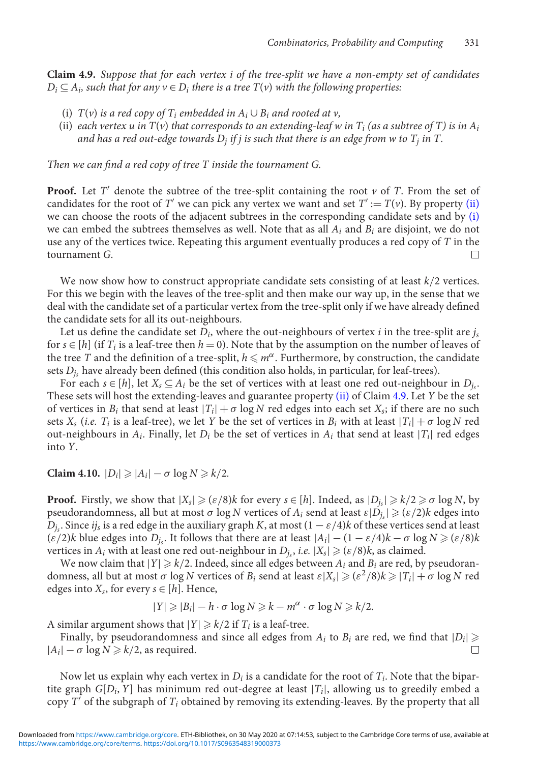<span id="page-13-2"></span>**Claim 4.9.** *Suppose that for each vertex i of the tree-split we have a non-empty set of candidates*  $D_i \subseteq A_i$ , such that for any  $v \in D_i$  there is a tree  $T(v)$  with the following properties:

- <span id="page-13-1"></span><span id="page-13-0"></span>(i)  $T(v)$  *is a red copy of*  $T_i$  *embedded in*  $A_i \cup B_i$  *and rooted at v*,
- (ii) *each vertex u in*  $T(v)$  *that corresponds to an extending-leaf w in*  $T_i$  (*as a subtree of*  $T$ *) is in*  $A_i$ *and has a red out-edge towards*  $D_i$  *if j is such that there is an edge from w to*  $T_i$  *in*  $T_i$ .

*Then we can find a red copy of tree T inside the tournament G.*

**Proof.** Let  $T'$  denote the subtree of the tree-split containing the root  $\nu$  of  $T$ . From the set of candidates for the root of *T'* we can pick any vertex we want and set  $T' := T(v)$ . By property [\(ii\)](#page-13-0) we can choose the roots of the adjacent subtrees in the corresponding candidate sets and by [\(i\)](#page-13-1) we can embed the subtrees themselves as well. Note that as all *Ai* and *Bi* are disjoint, we do not use any of the vertices twice. Repeating this argument eventually produces a red copy of *T* in the tournament *G*.

We now show how to construct appropriate candidate sets consisting of at least *k*/2 vertices. For this we begin with the leaves of the tree-split and then make our way up, in the sense that we deal with the candidate set of a particular vertex from the tree-split only if we have already defined the candidate sets for all its out-neighbours.

Let us define the candidate set  $D_i$ , where the out-neighbours of vertex *i* in the tree-split are  $j_s$ for  $s \in [h]$  (if  $T_i$  is a leaf-tree then  $h = 0$ ). Note that by the assumption on the number of leaves of the tree  $T$  and the definition of a tree-split,  $h \leqslant m^{\alpha}$ . Furthermore, by construction, the candidate sets  $D_i$ , have already been defined (this condition also holds, in particular, for leaf-trees).

For each  $s \in [h]$ , let  $X_s \subseteq A_i$  be the set of vertices with at least one red out-neighbour in  $D_i$ . These sets will host the extending-leaves and guarantee property [\(ii\)](#page-13-0) of Claim [4.9.](#page-13-2) Let *Y* be the set of vertices in  $B_i$  that send at least  $|T_i| + \sigma \log N$  red edges into each set  $X_s$ ; if there are no such sets  $X_s$  (*i.e.*  $T_i$  is a leaf-tree), we let  $Y$  be the set of vertices in  $B_i$  with at least  $|T_i| + \sigma \log N$  red out-neighbours in  $A_i$ . Finally, let  $D_i$  be the set of vertices in  $A_i$  that send at least  $|T_i|$  red edges into *Y*.

**Claim 4.10.**  $|D_i| \ge |A_i| - \sigma \log N \ge k/2$ .

**Proof.** Firstly, we show that  $|X_s| \geqslant (\varepsilon/8)k$  for every  $s \in [h]$ . Indeed, as  $|D_{i_s}| \geqslant k/2 \geqslant \sigma \log N$ , by pseudorandomness, all but at most  $\sigma$  log *N* vertices of  $A_i$  send at least  $\varepsilon|D_i| \geqslant (\varepsilon/2)k$  edges into  $D_i$ . Since *ij<sub>s</sub>* is a red edge in the auxiliary graph *K*, at most  $(1 - \varepsilon/4)k$  of these vertices send at least  $(\varepsilon/2)$ *k* blue edges into  $D_i$ . It follows that there are at least  $|A_i| - (1 - \varepsilon/4)k - \sigma \log N \geq (\varepsilon/8)k$ vertices in  $A_i$  with at least one red out-neighbour in  $D_i$ , *i.e.*  $|X_s| \geqslant (\varepsilon/8)k$ , as claimed.

We now claim that  $|Y| \ge k/2$ . Indeed, since all edges between  $A_i$  and  $B_i$  are red, by pseudorandomness, all but at most  $\sigma$  log *N* vertices of  $B_i$  send at least  $\epsilon|X_s| \geqslant (\epsilon^2/8)k \geqslant |T_i| + \sigma \log N$  red edges into  $X_s$ , for every  $s \in [h]$ . Hence,

$$
|Y| \geq |B_i| - h \cdot \sigma \log N \geq k - m^{\alpha} \cdot \sigma \log N \geq k/2.
$$

A similar argument shows that  $|Y| \ge k/2$  if  $T_i$  is a leaf-tree.

Finally, by pseudorandomness and since all edges from  $A_i$  to  $B_i$  are red, we find that  $|D_i| \geq$  $|A_i|$  −  $\sigma$  log *N*  $\geq$  *k*/2, as required.  $\Box$ 

Now let us explain why each vertex in *Di* is a candidate for the root of *Ti*. Note that the bipartite graph  $G[D_i, Y]$  has minimum red out-degree at least  $|T_i|$ , allowing us to greedily embed a copy  $T'$  of the subgraph of  $T_i$  obtained by removing its extending-leaves. By the property that all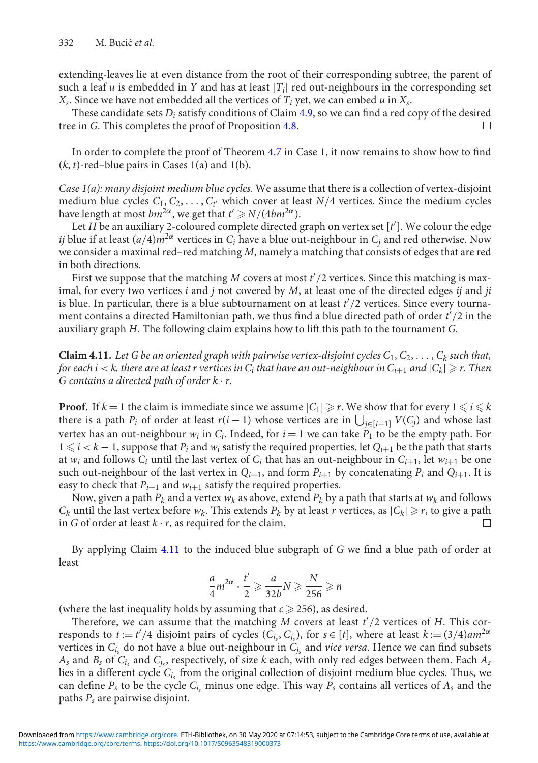extending-leaves lie at even distance from the root of their corresponding subtree, the parent of such a leaf  $u$  is embedded in  $Y$  and has at least  $|T_i|$  red out-neighbours in the corresponding set  $X_s$ . Since we have not embedded all the vertices of  $T_i$  yet, we can embed  $u$  in  $X_s$ .

These candidate sets *Di* satisfy conditions of Claim [4.9,](#page-13-2) so we can find a red copy of the desired tree in *G*. This completes the proof of Proposition [4.8.](#page-12-1)  $\Box$ 

In order to complete the proof of Theorem [4.7](#page-10-5) in Case 1, it now remains to show how to find  $(k, t)$ -red–blue pairs in Cases  $1(a)$  and  $1(b)$ .

*Case 1(a): many disjoint medium blue cycles.* We assume that there is a collection of vertex-disjoint medium blue cycles  $C_1, C_2, \ldots, C_{t'}$  which cover at least  $N/4$  vertices. Since the medium cycles have length at most  $bm^{2\alpha}$ , we get that  $t' \geq N/(4bm^{2\alpha})$ .

Let *H* be an auxiliary 2-coloured complete directed graph on vertex set [*t* ]. We colour the edge *ij* blue if at least  $(a/4)m^{2\alpha}$  vertices in  $C_i$  have a blue out-neighbour in  $C_i$  and red otherwise. Now we consider a maximal red–red matching *M*, namely a matching that consists of edges that are red in both directions.

First we suppose that the matching M covers at most  $t'/2$  vertices. Since this matching is maximal, for every two vertices *i* and *j* not covered by *M*, at least one of the directed edges *ij* and *ji* is blue. In particular, there is a blue subtournament on at least  $t'/2$  vertices. Since every tournament contains a directed Hamiltonian path, we thus find a blue directed path of order  $t^2/2$  in the auxiliary graph *H*. The following claim explains how to lift this path to the tournament *G*.

<span id="page-14-0"></span>**Claim 4.11.** Let G be an oriented graph with pairwise vertex-disjoint cycles  $C_1, C_2, \ldots, C_k$  such that, *for each i* < *k, there are at least r vertices in*  $C_i$  *that have an out-neighbour in*  $C_{i+1}$  *and*  $|C_k| \ge r$ *. Then G contains a directed path of order k* · *r.*

**Proof.** If  $k = 1$  the claim is immediate since we assume  $|C_1| \ge r$ . We show that for every  $1 \le i \le k$ there is a path  $P_i$  of order at least  $r(i-1)$  whose vertices are in  $\bigcup_{j \in [i-1]} V(C_j)$  and whose last vertex has an out-neighbour  $w_i$  in  $C_i$ . Indeed, for  $i = 1$  we can take  $P_1$  to be the empty path. For  $1 ≤ i < k - 1$ , suppose that  $P_i$  and  $w_i$  satisfy the required properties, let  $Q_{i+1}$  be the path that starts at  $w_i$  and follows  $C_i$  until the last vertex of  $C_i$  that has an out-neighbour in  $C_{i+1}$ , let  $w_{i+1}$  be one such out-neighbour of the last vertex in  $Q_{i+1}$ , and form  $P_{i+1}$  by concatenating  $P_i$  and  $Q_{i+1}$ . It is easy to check that  $P_{i+1}$  and  $w_{i+1}$  satisfy the required properties.

Now, given a path  $P_k$  and a vertex  $w_k$  as above, extend  $P_k$  by a path that starts at  $w_k$  and follows  $C_k$  until the last vertex before  $w_k$ . This extends  $P_k$  by at least *r* vertices, as  $|C_k| \ge r$ , to give a path in *G* of order at least  $k \cdot r$ , as required for the claim.  $\Box$ 

By applying Claim [4.11](#page-14-0) to the induced blue subgraph of *G* we find a blue path of order at least

$$
\frac{a}{4}m^{2\alpha} \cdot \frac{t'}{2} \geqslant \frac{a}{32b}N \geqslant \frac{N}{256} \geqslant n
$$

(where the last inequality holds by assuming that  $c \ge 256$ ), as desired.

Therefore, we can assume that the matching *M* covers at least *t* /2 vertices of *H*. This corresponds to  $t := t'/4$  disjoint pairs of cycles  $(C_{i_s}, C_{j_s})$ , for  $s \in [t]$ , where at least  $k := (3/4)$ am<sup>2α</sup> vertices in  $C_{i_s}$  do not have a blue out-neighbour in  $C_{i_s}$  and *vice versa*. Hence we can find subsets  $A_s$  and  $B_s$  of  $C_i$ , and  $C_i$ , respectively, of size *k* each, with only red edges between them. Each  $A_s$ lies in a different cycle *Cis* from the original collection of disjoint medium blue cycles. Thus, we can define  $P_s$  to be the cycle  $C_i$ , minus one edge. This way  $P_s$  contains all vertices of  $A_s$  and the paths *Ps* are pairwise disjoint.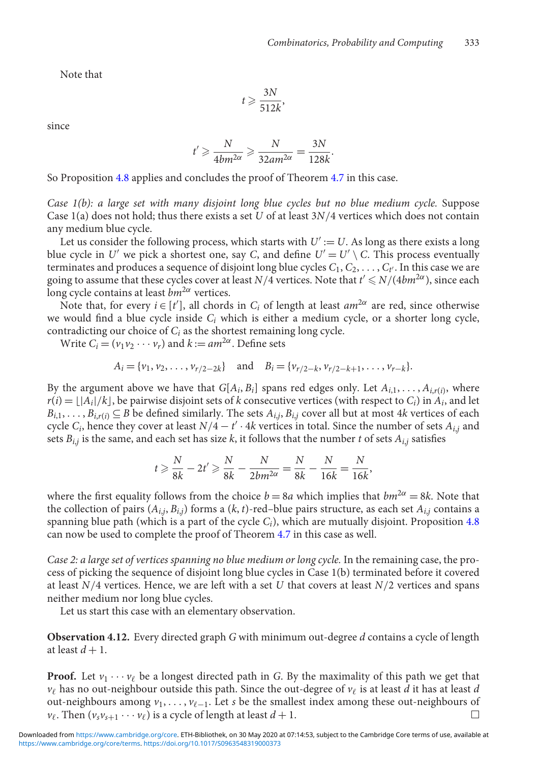Note that

$$
t \geqslant \frac{3N}{512k},
$$

since

$$
t' \geqslant \frac{N}{4bm^{2\alpha}} \geqslant \frac{N}{32am^{2\alpha}} = \frac{3N}{128k}.
$$

So Proposition [4.8](#page-12-1) applies and concludes the proof of Theorem [4.7](#page-10-5) in this case.

*Case 1(b): a large set with many disjoint long blue cycles but no blue medium cycle.* Suppose Case 1(a) does not hold; thus there exists a set *U* of at least 3*N*/4 vertices which does not contain any medium blue cycle.

Let us consider the following process, which starts with  $U' := U$ . As long as there exists a long blue cycle in *U'* we pick a shortest one, say *C*, and define  $U' = U' \setminus C$ . This process eventually terminates and produces a sequence of disjoint long blue cycles  $C_1, C_2, \ldots, C_{t'}$ . In this case we are going to assume that these cycles cover at least *N*/4 vertices. Note that *t*<sup>*'*</sup> ≤ *N*/(4*bm*<sup>2α</sup>), since each long cycle contains at least *bm*2<sup>α</sup> vertices.

Note that, for every  $i \in [t']$ , all chords in  $C_i$  of length at least  $am^{2\alpha}$  are red, since otherwise we would find a blue cycle inside *Ci* which is either a medium cycle, or a shorter long cycle, contradicting our choice of *Ci* as the shortest remaining long cycle.

Write  $C_i = (v_1v_2 \cdots v_r)$  and  $k := am^{2\alpha}$ . Define sets

$$
A_i = \{v_1, v_2, \dots, v_{r/2-2k}\}
$$
 and  $B_i = \{v_{r/2-k}, v_{r/2-k+1}, \dots, v_{r-k}\}.$ 

By the argument above we have that  $G[A_i, B_i]$  spans red edges only. Let  $A_{i,1}, \ldots, A_{i,r(i)}$ , where  $r(i) = \lfloor |A_i|/k \rfloor$ , be pairwise disjoint sets of *k* consecutive vertices (with respect to *C<sub>i</sub>*) in  $A_i$ , and let  $B_{i,1}, \ldots, B_{i,r(i)} \subseteq B$  be defined similarly. The sets  $A_{i,j}, B_{i,j}$  cover all but at most 4*k* vertices of each cycle  $C_i$ , hence they cover at least  $N/4 - t' \cdot 4k$  vertices in total. Since the number of sets  $A_{i,j}$  and sets  $B_{i,j}$  is the same, and each set has size *k*, it follows that the number *t* of sets  $A_{i,j}$  satisfies

$$
t \ge \frac{N}{8k} - 2t' \ge \frac{N}{8k} - \frac{N}{2bm^{2\alpha}} = \frac{N}{8k} - \frac{N}{16k} = \frac{N}{16k},
$$

where the first equality follows from the choice  $b = 8a$  which implies that  $bm^2 \alpha = 8k$ . Note that the collection of pairs  $(A_{i,j}, B_{i,j})$  forms a  $(k, t)$ -red–blue pairs structure, as each set  $A_{i,j}$  contains a spanning blue path (which is a part of the cycle *Ci*), which are mutually disjoint. Proposition [4.8](#page-12-1) can now be used to complete the proof of Theorem [4.7](#page-10-5) in this case as well.

*Case 2: a large set of vertices spanning no blue medium or long cycle.* In the remaining case, the process of picking the sequence of disjoint long blue cycles in Case 1(b) terminated before it covered at least *N*/4 vertices. Hence, we are left with a set *U* that covers at least *N*/2 vertices and spans neither medium nor long blue cycles.

Let us start this case with an elementary observation.

<span id="page-15-0"></span>**Observation 4.12.** Every directed graph *G* with minimum out-degree *d* contains a cycle of length at least  $d+1$ .

**Proof.** Let  $v_1 \cdots v_\ell$  be a longest directed path in *G*. By the maximality of this path we get that  $v_\ell$  has no out-neighbour outside this path. Since the out-degree of  $v_\ell$  is at least *d* it has at least *d* out-neighbours among *v*<sub>1</sub>, . . . , *v*<sub>ℓ−1</sub>. Let *s* be the smallest index among these out-neighbours of  $v_{\ell}$ . Then  $(v_s v_{s+1} \cdots v_{\ell})$  is a cycle of length at least  $d+1$ .  $\Box$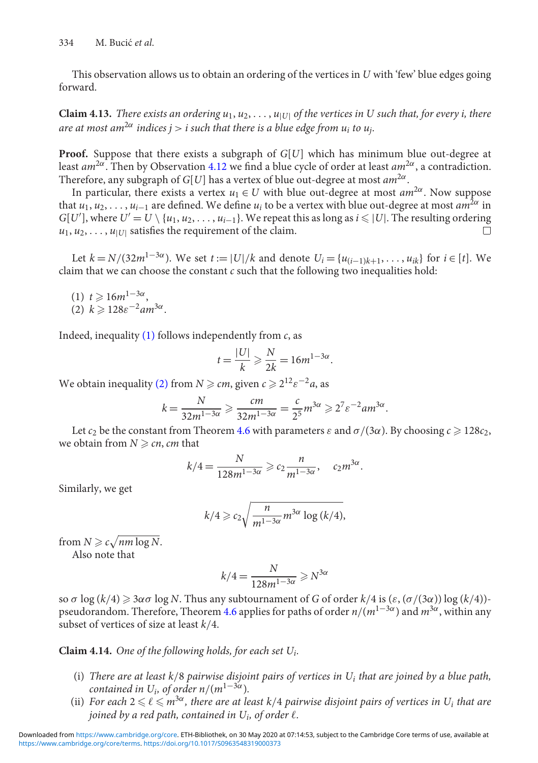This observation allows us to obtain an ordering of the vertices in *U* with 'few' blue edges going forward.

<span id="page-16-4"></span>**Claim 4.13.** *There exists an ordering*  $u_1, u_2, \ldots, u_{|U|}$  *of the vertices in U such that, for every i, there are at most am*<sup>2 $\alpha$ </sup> *indices j > i such that there is a blue edge from u<sub>i</sub> to u<sub>i</sub>.* 

**Proof.** Suppose that there exists a subgraph of *G*[*U*] which has minimum blue out-degree at least *am*2α. Then by Observation [4.12](#page-15-0) we find a blue cycle of order at least *am*2α, a contradiction. Therefore, any subgraph of *G*[*U*] has a vertex of blue out-degree at most *am*2α.

In particular, there exists a vertex  $u_1 \in U$  with blue out-degree at most  $am^{2\alpha}$ . Now suppose that  $u_1, u_2, \ldots, u_{i-1}$  are defined. We define  $u_i$  to be a vertex with blue out-degree at most  $am^{2\alpha}$  in  $G[U']$ , where  $U' = U \setminus \{u_1, u_2, \ldots, u_{i-1}\}$ . We repeat this as long as  $i \leq |U|$ . The resulting ordering  $u_1, u_2, \ldots, u_{|U|}$  satisfies the requirement of the claim.  $\Box$ 

Let *k* = *N*/(32*m*<sup>1−3α</sup>). We set *t* := |*U*|/*k* and denote *U<sub>i</sub>* = {*u*<sub>(*i*−1)*k*+1</sub>,...,*u<sub>ik</sub>*} for *i* ∈ [*t*]. We claim that we can choose the constant *c* such that the following two inequalities hold:

<span id="page-16-1"></span><span id="page-16-0"></span>(1)  $t \ge 16m^{1-3\alpha}$ , (2)  $k \geqslant 128\varepsilon^{-2}am^{3\alpha}$ .

Indeed, inequality [\(1\)](#page-16-0) follows independently from *c*, as

$$
t = \frac{|U|}{k} \geqslant \frac{N}{2k} = 16m^{1-3\alpha}.
$$

We obtain inequality [\(2\)](#page-16-1) from  $N \ge cm$ , given  $c \ge 2^{12} \varepsilon^{-2} a$ , as

$$
k=\frac{N}{32m^{1-3\alpha}}\geqslant \frac{cm}{32m^{1-3\alpha}}=\frac{c}{2^5}m^{3\alpha}\geqslant 2^7\epsilon^{-2}am^{3\alpha}.
$$

Let  $c_2$  be the constant from Theorem [4.6](#page-10-6) with parameters  $\varepsilon$  and  $\sigma/(3\alpha)$ . By choosing  $c \ge 128c_2$ , we obtain from  $N \ge cn$ , *cm* that

$$
k/4 = \frac{N}{128m^{1-3\alpha}} \geqslant c_2 \frac{n}{m^{1-3\alpha}}, \quad c_2 m^{3\alpha}.
$$

Similarly, we get

$$
k/4 \geqslant c_2 \sqrt{\frac{n}{m^{1-3\alpha}} m^{3\alpha} \log{(k/4)}},
$$

from  $N \geqslant c \sqrt{n m \log N}$ . Also note that

 $k/4 = \frac{N}{128m^{1-3\alpha}} \geq N^{3\alpha}$ 

so σ log  $(k/4) \ge 3\alpha$  o log *N*. Thus any subtournament of *G* of order  $k/4$  is  $(\varepsilon, (\sigma/(3\alpha)))$  log  $(k/4))$ pseudorandom. Therefore, Theorem [4.6](#page-10-6) applies for paths of order *n*/(*m*1−3α) and *m*3α, within any subset of vertices of size at least *k*/4.

<span id="page-16-5"></span><span id="page-16-2"></span>**Claim 4.14.** *One of the following holds, for each set Ui.*

- (i) *There are at least k*/8 *pairwise disjoint pairs of vertices in Ui that are joined by a blue path, contained in U<sub>i</sub>, of order n*/( $m^{1-3\alpha}$ ).
- <span id="page-16-3"></span>(ii) For each  $2 \leqslant \ell \leqslant m^{3\alpha}$ , there are at least k/4 pairwise disjoint pairs of vertices in U<sub>i</sub> that are *joined by a red path, contained in*  $U_i$ *, of order*  $\ell$ *.*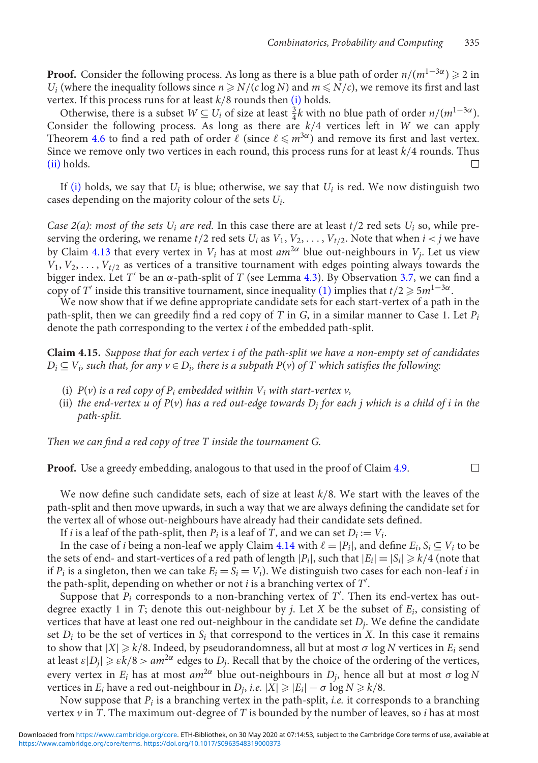**Proof.** Consider the following process. As long as there is a blue path of order  $n/(m^{1-3\alpha}) \geq 2$  in *U<sub>i</sub>* (where the inequality follows since  $n \ge N/(c \log N)$  and  $m \le N/c$ ), we remove its first and last vertex. If this process runs for at least *k*/8 rounds then [\(i\)](#page-16-2) holds.

Otherwise, there is a subset  $W \subseteq U_i$  of size at least  $\frac{3}{4}k$  with no blue path of order  $n/(m^{1-3\alpha})$ . Consider the following process. As long as there are *k*/4 vertices left in *W* we can apply Theorem [4.6](#page-10-6) to find a red path of order  $\ell$  (since  $\ell \leqslant m^{3\alpha}$ ) and remove its first and last vertex. Since we remove only two vertices in each round, this process runs for at least *k*/4 rounds. Thus [\(ii\)](#page-16-3) holds.  $\Box$ 

If [\(i\)](#page-16-2) holds, we say that  $U_i$  is blue; otherwise, we say that  $U_i$  is red. We now distinguish two cases depending on the majority colour of the sets *Ui*.

*Case 2(a): most of the sets*  $U_i$  *<i>are red.* In this case there are at least  $t/2$  red sets  $U_i$  so, while preserving the ordering, we rename  $t/2$  red sets  $U_i$  as  $V_1, V_2, \ldots, V_{t/2}$ . Note that when  $i < j$  we have by Claim [4.13](#page-16-4) that every vertex in  $V_i$  has at most  $am^{2\alpha}$  blue out-neighbours in  $V_i$ . Let us view  $V_1, V_2, \ldots, V_{t/2}$  as vertices of a transitive tournament with edges pointing always towards the bigger index. Let *T'* be an  $\alpha$ -path-split of *T* (see Lemma [4.3\)](#page-9-1). By Observation [3.7,](#page-6-3) we can find a copy of *T'* inside this transitive tournament, since inequality [\(1\)](#page-16-0) implies that  $t/2 \ge 5m^{1-3\alpha}$ .

We now show that if we define appropriate candidate sets for each start-vertex of a path in the path-split, then we can greedily find a red copy of *T* in *G*, in a similar manner to Case 1. Let *Pi* denote the path corresponding to the vertex *i* of the embedded path-split.

<span id="page-17-0"></span>**Claim 4.15.** *Suppose that for each vertex i of the path-split we have a non-empty set of candidates*  $D_i \subseteq V_i$ , such that, for any  $v \in D_i$ , there is a subpath  $P(v)$  of T which satisfies the following:

- (i)  $P(v)$  *is a red copy of*  $P_i$  *embedded within*  $V_i$  *with start-vertex v,*
- (ii) *the end-vertex u of P(v) has a red out-edge towards D<sub>i</sub> for each j which is a child of <i>i* in the *path-split.*

*Then we can find a red copy of tree T inside the tournament G.*

**Proof.** Use a greedy embedding, analogous to that used in the proof of Claim [4.9.](#page-13-2)  $\Box$ 

We now define such candidate sets, each of size at least *k*/8. We start with the leaves of the path-split and then move upwards, in such a way that we are always defining the candidate set for the vertex all of whose out-neighbours have already had their candidate sets defined.

If *i* is a leaf of the path-split, then  $P_i$  is a leaf of *T*, and we can set  $D_i := V_i$ .

In the case of *i* being a non-leaf we apply Claim [4.14](#page-16-5) with  $\ell = |P_i|$ , and define  $E_i$ ,  $S_i \subseteq V_i$  to be the sets of end- and start-vertices of a red path of length  $|P_i|$ , such that  $|E_i| = |S_i| \ge k/4$  (note that if  $P_i$  is a singleton, then we can take  $E_i = S_i = V_i$ ). We distinguish two cases for each non-leaf *i* in the path-split, depending on whether or not *i* is a branching vertex of *T* .

Suppose that  $P_i$  corresponds to a non-branching vertex of  $T'$ . Then its end-vertex has outdegree exactly 1 in *T*; denote this out-neighbour by *j*. Let *X* be the subset of *Ei*, consisting of vertices that have at least one red out-neighbour in the candidate set *Dj*. We define the candidate set  $D_i$  to be the set of vertices in  $S_i$  that correspond to the vertices in *X*. In this case it remains to show that  $|X| \ge k/8$ . Indeed, by pseudorandomness, all but at most  $\sigma$  log  $N$  vertices in  $E_i$  send at least  $\varepsilon|D_j| \geq \varepsilon k/8 > am^{2\alpha}$  edges to  $D_j$ . Recall that by the choice of the ordering of the vertices, every vertex in  $E_i$  has at most  $am^{2\alpha}$  blue out-neighbours in  $D_i$ , hence all but at most  $\sigma \log N$ vertices in *E<sub>i</sub>* have a red out-neighbour in *D<sub>j</sub>*, *i.e.*  $|X| \ge |E_i| - \sigma \log N \ge k/8$ .

Now suppose that *Pi* is a branching vertex in the path-split, *i.e.* it corresponds to a branching vertex  $\nu$  in *T*. The maximum out-degree of *T* is bounded by the number of leaves, so *i* has at most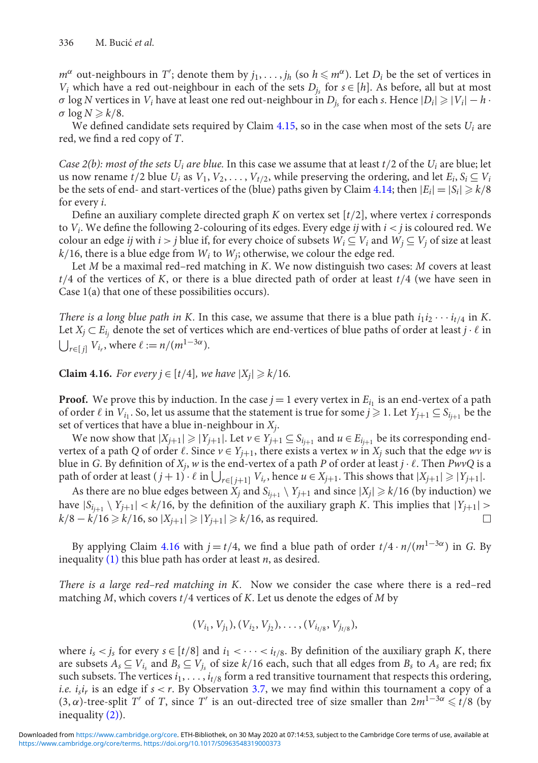*m*<sup>α</sup> out-neighbours in *T*<sup>'</sup>; denote them by  $j_1, \ldots, j_h$  (so  $h \leqslant m^\alpha$ ). Let  $D_i$  be the set of vertices in *V<sub>i</sub>* which have a red out-neighbour in each of the sets  $D_i$  for  $s \in [h]$ . As before, all but at most  $\sigma$  log *N* vertices in *V<sub>i</sub>* have at least one red out-neighbour in  $D_i$  for each *s*. Hence  $|D_i| \geq |V_i| - h \cdot$  $\sigma \log N \geq k/8$ .

We defined candidate sets required by Claim  $4.15$ , so in the case when most of the sets  $U_i$  are red, we find a red copy of *T*.

*Case 2(b): most of the sets Ui are blue.* In this case we assume that at least *t*/2 of the *Ui* are blue; let us now rename  $t/2$  blue  $U_i$  as  $V_1, V_2, \ldots, V_{t/2}$ , while preserving the ordering, and let  $E_i, S_i \subseteq V_i$ be the sets of end- and start-vertices of the (blue) paths given by Claim [4.14;](#page-16-5) then  $|E_i| = |S_i| \ge k/8$ for every *i*.

Define an auxiliary complete directed graph *K* on vertex set [*t*/2], where vertex *i* corresponds to *Vi*. We define the following 2-colouring of its edges. Every edge *ij* with *i* < *j* is coloured red. We colour an edge *ij* with *i* > *j* blue if, for every choice of subsets  $W_i \subseteq V_i$  and  $W_i \subseteq V_j$  of size at least  $k/16$ , there is a blue edge from  $W_i$  to  $W_j$ ; otherwise, we colour the edge red.

Let *M* be a maximal red–red matching in *K*. We now distinguish two cases: *M* covers at least *t*/4 of the vertices of *K*, or there is a blue directed path of order at least *t*/4 (we have seen in Case 1(a) that one of these possibilities occurs).

*There is a long blue path in K.* In this case, we assume that there is a blue path  $i_1 i_2 \cdots i_{t/4}$  in K. Let  $X_j \subset E_{i_j}$  denote the set of vertices which are end-vertices of blue paths of order at least  $j \cdot \ell$  in  $\bigcup_{r \in [j]} V_{i_r}$ , where  $\ell := n/(m^{1-3\alpha})$ .

<span id="page-18-0"></span>**Claim 4.16.** *For every*  $j \in [t/4]$ *, we have*  $|X_j| \ge k/16$ *.* 

**Proof.** We prove this by induction. In the case  $j = 1$  every vertex in  $E_{i_1}$  is an end-vertex of a path of order  $\ell$  in  $V_{i_1}$ . So, let us assume that the statement is true for some  $j \geq 1$ . Let  $Y_{j+1} \subseteq S_{i_{j+1}}$  be the set of vertices that have a blue in-neighbour in *Xj*.

We now show that  $|X_{j+1}| \ge |Y_{j+1}|$ . Let  $v \in Y_{j+1} \subseteq S_{i_{j+1}}$  and  $u \in E_{i_{j+1}}$  be its corresponding endvertex of a path *Q* of order  $\ell$ . Since  $v \in Y_{j+1}$ , there exists a vertex  $w$  in  $X_j$  such that the edge  $wv$  is blue in *G*. By definition of  $X_j$ ,  $w$  is the end-vertex of a path  $P$  of order at least  $j \cdot \ell$ . Then  $PwvQ$  is a path of order at least  $(j + 1) \cdot \ell$  in  $\bigcup_{r \in [j + 1]} V_{i_r}$ , hence  $u \in X_{j + 1}$ . This shows that  $|X_{j + 1}| \geqslant |Y_{j + 1}|$ .

As there are no blue edges between  $X_j$  and  $S_{i+1} \setminus Y_{j+1}$  and since  $|X_j| \ge k/16$  (by induction) we have  $|S_{i_{i+1}} \setminus Y_{i+1}| < k/16$ , by the definition of the auxiliary graph *K*. This implies that  $|Y_{i+1}| >$ *k*/8 − *k*/16  $\ge$  *k*/16, so  $|X_{i+1}|$   $\ge$   $|Y_{i+1}|$   $\ge$  *k*/16, as required.

By applying Claim [4.16](#page-18-0) with  $j = t/4$ , we find a blue path of order  $t/4 \cdot n/(m^{1-3\alpha})$  in *G*. By inequality [\(1\)](#page-16-0) this blue path has order at least *n*, as desired.

*There is a large red–red matching in K.* Now we consider the case where there is a red–red matching *M*, which covers *t*/4 vertices of *K*. Let us denote the edges of *M* by

$$
(V_{i_1}, V_{j_1}), (V_{i_2}, V_{j_2}), \ldots, (V_{i_{t/8}}, V_{j_{t/8}}),
$$

where  $i_s < j_s$  for every  $s \in [t/8]$  and  $i_1 < \cdots < i_{t/8}$ . By definition of the auxiliary graph *K*, there are subsets  $A_s \subseteq V_i$ , and  $B_s \subseteq V_j$ , of size  $k/16$  each, such that all edges from  $B_s$  to  $A_s$  are red; fix such subsets. The vertices  $i_1, \ldots, i_{t/8}$  form a red transitive tournament that respects this ordering, *i.e. isir* is an edge if *s* < *r*. By Observation [3.7,](#page-6-3) we may find within this tournament a copy of a (3, α)-tree-split *T'* of *T*, since *T'* is an out-directed tree of size smaller than  $2m^{1-3\alpha}$  ≤  $\frac{1}{8}$  (by inequality [\(2\)\)](#page-16-1).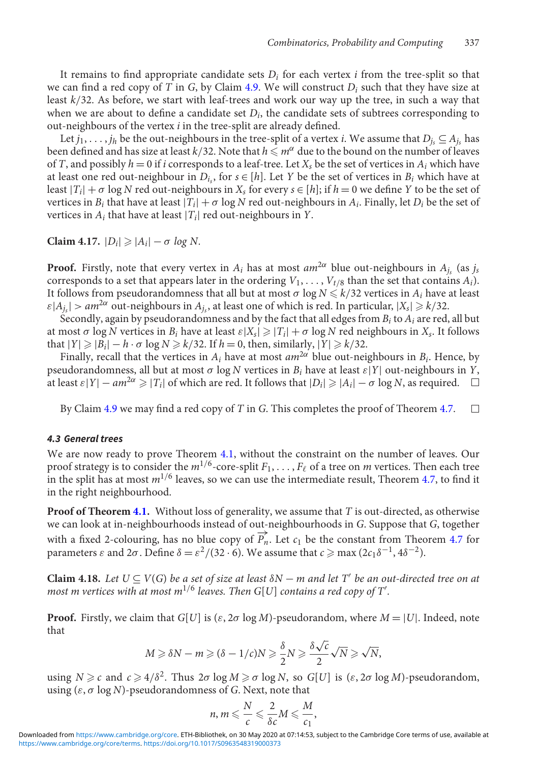It remains to find appropriate candidate sets  $D_i$  for each vertex  $i$  from the tree-split so that we can find a red copy of *T* in *G*, by Claim [4.9.](#page-13-2) We will construct  $D_i$  such that they have size at least *k*/32. As before, we start with leaf-trees and work our way up the tree, in such a way that when we are about to define a candidate set  $D_i$ , the candidate sets of subtrees corresponding to out-neighbours of the vertex *i* in the tree-split are already defined.

Let  $j_1, \ldots, j_h$  be the out-neighbours in the tree-split of a vertex *i*. We assume that  $D_i \subseteq A_i$ , has been defined and has size at least  $k/3$ 2. Note that  $h \, \bar{\leqslant}\, m^{\alpha}$  due to the bound on the number of leaves of *T*, and possibly  $h = 0$  if *i* corresponds to a leaf-tree. Let  $X_s$  be the set of vertices in  $A_i$  which have at least one red out-neighbour in  $D_i$ , for  $s \in [h]$ . Let *Y* be the set of vertices in  $B_i$  which have at least  $|T_i| + \sigma \log N$  red out-neighbours in  $X_s$  for every  $s \in [h]$ ; if  $h = 0$  we define *Y* to be the set of vertices in  $B_i$  that have at least  $|T_i| + \sigma \log N$  red out-neighbours in  $A_i$ . Finally, let  $D_i$  be the set of vertices in  $A_i$  that have at least  $|T_i|$  red out-neighbours in *Y*.

**Claim 4.17.**  $|D_i| \geq |A_i| - \sigma \log N$ .

**Proof.** Firstly, note that every vertex in  $A_i$  has at most  $am^{2\alpha}$  blue out-neighbours in  $A_i$ ; (as  $j_s$ ) corresponds to a set that appears later in the ordering  $V_1, \ldots, V_{t/8}$  than the set that contains  $A_i$ ). It follows from pseudorandomness that all but at most  $\sigma \log N$   $\leqslant$   $k/32$  vertices in  $A_i$  have at least  $\varepsilon |A_{i_{s}}| > am^{2\alpha}$  out-neighbours in  $A_{i_{s}}$ , at least one of which is red. In particular,  $|X_{s}| \geq k/32$ .

Secondly, again by pseudorandomness and by the fact that all edges from *Bi* to *Ai* are red, all but at most  $\sigma$  log *N* vertices in  $B_i$  have at least  $\varepsilon|X_s| \geq |T_i| + \sigma \log N$  red neighbours in  $X_s$ . It follows that  $|Y| \ge |B_i| - h \cdot \sigma \log N \ge k/32$ . If  $h = 0$ , then, similarly,  $|Y| \ge k/32$ .

Finally, recall that the vertices in  $A_i$  have at most  $am^{2\alpha}$  blue out-neighbours in  $B_i$ . Hence, by pseudorandomness, all but at most  $\sigma$  log *N* vertices in  $B_i$  have at least  $\varepsilon|Y|$  out-neighbours in *Y*, at least  $\varepsilon|Y| - am^{2\alpha} \ge |T_i|$  of which are red. It follows that  $|D_i| \ge |A_i| - \sigma \log N$ , as required.  $\square$ 

By Claim [4.9](#page-13-2) we may find a red copy of *T* in *G*. This completes the proof of Theorem [4.7.](#page-10-5)  $\Box$ 

#### <span id="page-19-0"></span>*4.3 General trees*

We are now ready to prove Theorem [4.1,](#page-7-2) without the constraint on the number of leaves. Our proof strategy is to consider the  $m^{1/6}$ -core-split  $F_1,\ldots,F_\ell$  of a tree on  $m$  vertices. Then each tree in the split has at most *m*1/<sup>6</sup> leaves, so we can use the intermediate result, Theorem [4.7,](#page-10-5) to find it in the right neighbourhood.

**Proof of Theorem [4.1.](#page-7-2)** Without loss of generality, we assume that *T* is out-directed, as otherwise we can look at in-neighbourhoods instead of out-neighbourhoods in *G*. Suppose that *G*, together with a fixed 2-colouring, has no blue copy of  $\overrightarrow{P_n}$ . Let  $c_1$  be the constant from Theorem [4.7](#page-10-5) for parameters *ε* and 2*σ*. Define  $δ = ε<sup>2</sup>/(32 ⋅ 6)$ . We assume that *c* ≥ max (2*c*<sub>1</sub>δ<sup>-1</sup>, 4δ<sup>-2</sup>).

<span id="page-19-1"></span>**Claim 4.18.** *Let*  $U \subseteq V(G)$  *be a set of size at least*  $\delta N - m$  *and let*  $T'$  *be an out-directed tree on at* most m vertices with at most m $^{1/6}$  leaves. Then G[U] contains a red copy of T'.

**Proof.** Firstly, we claim that  $G[U]$  is ( $\varepsilon$ ,  $2\sigma \log M$ )-pseudorandom, where  $M = |U|$ . Indeed, note that

$$
M \geqslant \delta N - m \geqslant (\delta - 1/c)N \geqslant \frac{\delta}{2}N \geqslant \frac{\delta\sqrt{c}}{2}\sqrt{N} \geqslant \sqrt{N},
$$

using  $N \geq c$  and  $c \geq 4/\delta^2$ . Thus  $2\sigma \log M \geq \sigma \log N$ , so  $G[U]$  is  $(\varepsilon, 2\sigma \log M)$ -pseudorandom, using (ε, σ log *N*)-pseudorandomness of *G*. Next, note that

$$
n, m \leqslant \frac{N}{c} \leqslant \frac{2}{\delta c} M \leqslant \frac{M}{c_1},
$$

[https://www.cambridge.org/core/terms.](https://www.cambridge.org/core/terms) <https://doi.org/10.1017/S0963548319000373> Downloaded from [https://www.cambridge.org/core.](https://www.cambridge.org/core) ETH-Bibliothek, on 30 May 2020 at 07:14:53, subject to the Cambridge Core terms of use, available at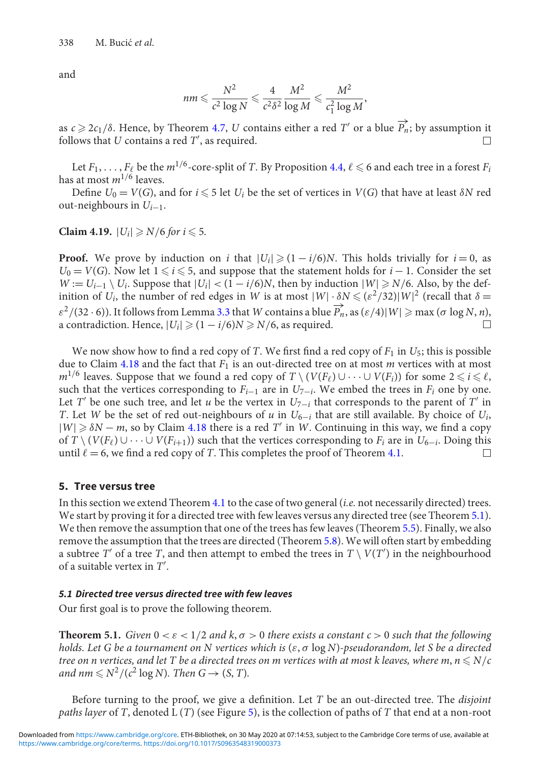and

$$
nm \leqslant \frac{N^2}{c^2\log N} \leqslant \frac{4}{c^2\delta^2}\frac{M^2}{\log M} \leqslant \frac{M^2}{c_1^2\log M},
$$

as  $c \ge 2c_1/\delta$ . Hence, by Theorem [4.7,](#page-10-5) *U* contains either a red *T'* or a blue  $\overrightarrow{P_n}$ ; by assumption it follows that *U* contains a red *T* , as required.  $\Box$ 

Let  $F_1,\ldots,F_\ell$  be the  $m^{1/6}$ -core-split of  $T$ . By Proposition [4.4,](#page-10-7)  $\ell \leqslant 6$  and each tree in a forest  $F_i$ has at most *m*1/<sup>6</sup> leaves.

Define  $U_0 = V(G)$ , and for  $i \leq 5$  let  $U_i$  be the set of vertices in  $V(G)$  that have at least  $\delta N$  red out-neighbours in *Ui*−1.

<span id="page-20-2"></span>**Claim 4.19.**  $|U_i| \ge N/6$  for  $i \le 5$ .

**Proof.** We prove by induction on *i* that  $|U_i| \geq (1 - i/6)N$ . This holds trivially for  $i = 0$ , as *U*<sub>0</sub> = *V*(*G*). Now let  $1 \le i \le 5$ , and suppose that the statement holds for *i* − 1. Consider the set *W* := *U*<sub>*i*−1</sub> \ *U<sub>i</sub>*. Suppose that  $|U_i|$  < (1 − *i*/6)*N*, then by induction  $|W|$  ≥ *N*/6. Also, by the definition of *U<sub>i</sub>*, the number of red edges in *W* is at most  $|W| \cdot \delta N \leqslant (\varepsilon^2/32)|W|^2$  (recall that  $\delta =$  $\varepsilon^2$ /(32 · 6)). It follows from Lemma [3.3](#page-5-1) that *W* contains a blue  $\overrightarrow{P_n}$ , as  $(\varepsilon/4)|W| \ge \max (\sigma \log N, n)$ , a contradiction. Hence,  $|U_i| \geq (1 - i/6)N \geq N/6$ , as required.  $\Box$ 

We now show how to find a red copy of *T*. We first find a red copy of  $F_1$  in  $U_5$ ; this is possible due to Claim [4.18](#page-19-1) and the fact that *F*<sup>1</sup> is an out-directed tree on at most *m* vertices with at most *m*<sup>1/6</sup> leaves. Suppose that we found a red copy of *T* \ (*V*(*F*<sub>t</sub>)∪···∪ *V*(*F<sub>i</sub>*)) for some 2 ≤ *i* ≤  $\ell$ , such that the vertices corresponding to  $F_{i-1}$  are in  $U_{7-i}$ . We embed the trees in  $F_i$  one by one. Let *T'* be one such tree, and let *u* be the vertex in  $U_{7-i}$  that corresponds to the parent of *T'* in *T*. Let *W* be the set of red out-neighbours of *u* in  $U_{6-i}$  that are still available. By choice of  $U_i$ , |*W*| δ*N* − *m*, so by Claim [4.18](#page-19-1) there is a red *T* in *W*. Continuing in this way, we find a copy of  $T \setminus (V(F_\ell) \cup \cdots \cup V(F_{i+1}))$  such that the vertices corresponding to  $F_i$  are in  $U_{6-i}$ . Doing this until  $\ell = 6$ , we find a red copy of *T*. This completes the proof of Theorem [4.1.](#page-7-2)

# <span id="page-20-0"></span>**5. Tree versus tree**

In this section we extend Theorem [4.1](#page-7-2) to the case of two general (*i.e.* not necessarily directed) trees. We start by proving it for a directed tree with few leaves versus any directed tree (see Theorem [5.1\)](#page-20-1). We then remove the assumption that one of the trees has few leaves (Theorem [5.5\)](#page-22-0). Finally, we also remove the assumption that the trees are directed (Theorem [5.8\)](#page-24-0). We will often start by embedding a subtree *T'* of a tree *T*, and then attempt to embed the trees in  $T \setminus V(T')$  in the neighbourhood of a suitable vertex in *T* .

# *5.1 Directed tree versus directed tree with few leaves*

Our first goal is to prove the following theorem.

<span id="page-20-1"></span>**Theorem 5.1.** *Given*  $0 < \varepsilon < 1/2$  *and*  $k, \sigma > 0$  *there exists a constant*  $c > 0$  *such that the following holds. Let G be a tournament on N vertices which is* (ε, σ log *N*)*-pseudorandom, let S be a directed* tree on n vertices, and let T be a directed trees on m vertices with at most k leaves, where m,  $n$   $\leqslant$  N/c and nm  $\leq N^2/(c^2 \log N)$ . Then  $G \to (S, T)$ .

Before turning to the proof, we give a definition. Let *T* be an out-directed tree. The *disjoint paths layer* of *T*, denoted L (*T*) (see Figure [5\)](#page-21-0), is the collection of paths of *T* that end at a non-root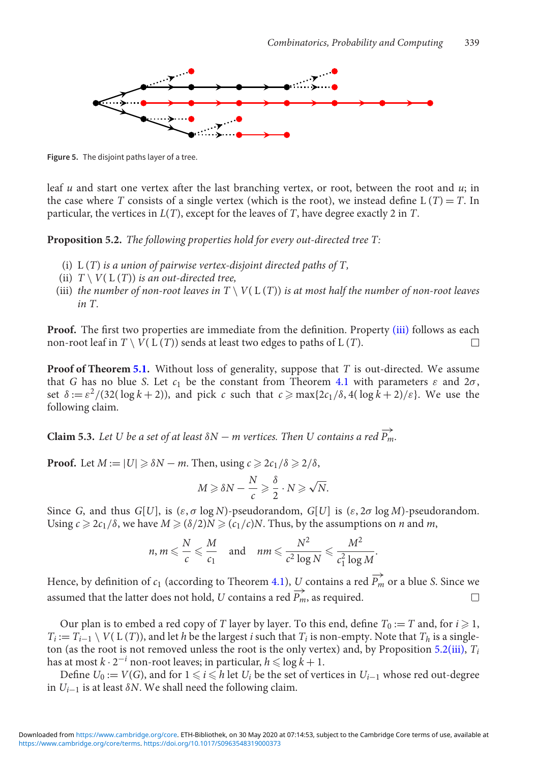<span id="page-21-0"></span>

**Figure 5.** The disjoint paths layer of a tree.

leaf *u* and start one vertex after the last branching vertex, or root, between the root and *u*; in the case where *T* consists of a single vertex (which is the root), we instead define L  $(T) = T$ . In particular, the vertices in *L*(*T*), except for the leaves of *T*, have degree exactly 2 in *T*.

<span id="page-21-2"></span>**Proposition 5.2.** *The following properties hold for every out-directed tree T:*

- (i) L (*T*) *is a union of pairwise vertex-disjoint directed paths of T,*
- <span id="page-21-1"></span>(ii)  $T \setminus V(L(T))$  *is an out-directed tree,*
- (iii) *the number of non-root leaves in*  $T \setminus V(L(T))$  *is at most half the number of non-root leaves in T.*

**Proof.** The first two properties are immediate from the definition. Property [\(iii\)](#page-21-1) follows as each non-root leaf in  $T \setminus V(L(T))$  sends at least two edges to paths of  $L(T)$ .  $\Box$ 

**Proof of Theorem [5.1.](#page-20-1)** Without loss of generality, suppose that *T* is out-directed. We assume that *G* has no blue *S*. Let  $c_1$  be the constant from Theorem [4.1](#page-7-2) with parameters  $\varepsilon$  and  $2\sigma$ , set  $\delta := \varepsilon^2/(32(\log k + 2))$ , and pick *c* such that  $c \ge \max\{2c_1/\delta, 4(\log k + 2)/\varepsilon\}$ . We use the following claim.

<span id="page-21-3"></span>**Claim 5.3.** Let U be a set of at least  $\delta N$  – *m* vertices. Then U contains a red  $\overrightarrow{P_m}$ .

**Proof.** Let  $M := |U| \geq \delta N - m$ . Then, using  $c \geq 2c_1/\delta \geq 2/\delta$ ,

$$
M \geqslant \delta N - \frac{N}{c} \geqslant \frac{\delta}{2} \cdot N \geqslant \sqrt{N}.
$$

Since *G*, and thus *G*[*U*], is  $(\varepsilon, \sigma \log N)$ -pseudorandom, *G*[*U*] is  $(\varepsilon, 2\sigma \log M)$ -pseudorandom. Using  $c \ge 2c_1/\delta$ , we have  $M \ge (\delta/2)N \ge (c_1/c)N$ . Thus, by the assumptions on *n* and *m*,

$$
n, m \leqslant \frac{N}{c} \leqslant \frac{M}{c_1}
$$
 and  $nm \leqslant \frac{N^2}{c^2 \log N} \leqslant \frac{M^2}{c_1^2 \log M}$ .

Hence, by definition of  $c_1$  (according to Theorem [4.1\)](#page-7-2), *U* contains a red  $\overrightarrow{P_m}$  or a blue *S*. Since we assumed that the latter does not hold, *U* contains a red  $\overrightarrow{P_m}$ , as required.  $\Box$ 

Our plan is to embed a red copy of *T* layer by layer. To this end, define  $T_0 := T$  and, for  $i \ge 1$ ,  $T_i := T_{i-1} \setminus V(L(T))$ , and let *h* be the largest *i* such that  $T_i$  is non-empty. Note that  $T_h$  is a singleton (as the root is not removed unless the root is the only vertex) and, by Proposition [5.2](#page-21-2)[\(iii\),](#page-21-1) *Ti* has at most  $k \cdot 2^{-i}$  non-root leaves; in particular,  $h \leqslant \log \overset{\textbf{\textit{i}}}{k} + 1.$ 

Define  $U_0 := V(G)$ , and for  $1 \leq i \leq h$  let  $U_i$  be the set of vertices in  $U_{i-1}$  whose red out-degree in  $U_{i-1}$  is at least  $\delta N$ . We shall need the following claim.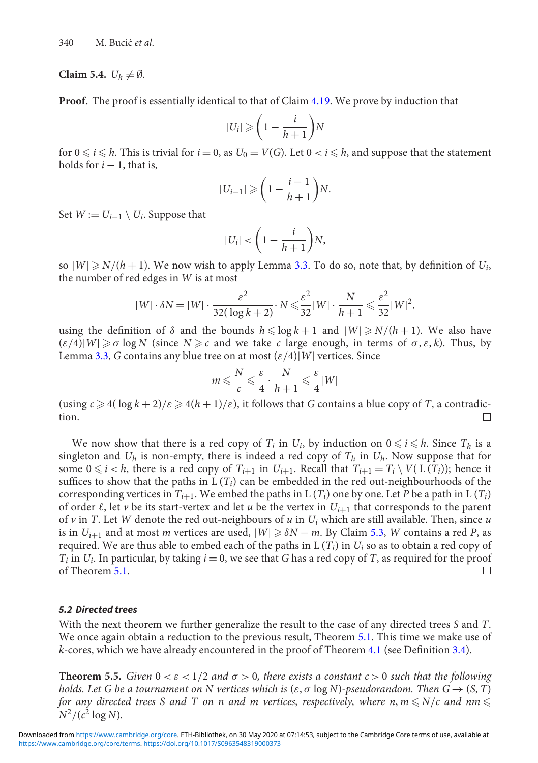#### **Claim 5.4.**  $U_h \neq \emptyset$ .

**Proof.** The proof is essentially identical to that of Claim [4.19.](#page-20-2) We prove by induction that

$$
|U_i| \geqslant \left(1 - \frac{i}{h+1}\right)N
$$

for  $0 \leq i \leq h$ . This is trivial for  $i = 0$ , as  $U_0 = V(G)$ . Let  $0 < i \leq h$ , and suppose that the statement holds for  $i - 1$ , that is,

$$
|U_{i-1}| \geqslant \left(1 - \frac{i-1}{h+1}\right)N.
$$

Set  $W := U_{i-1} \setminus U_i$ . Suppose that

$$
|U_i| < \left(1 - \frac{i}{h+1}\right)N,
$$

so  $|W| \ge N/(h+1)$ . We now wish to apply Lemma [3.3.](#page-5-1) To do so, note that, by definition of  $U_i$ , the number of red edges in *W* is at most

$$
|W| \cdot \delta N = |W| \cdot \frac{\varepsilon^2}{32(\log k + 2)} \cdot N \leqslant \frac{\varepsilon^2}{32} |W| \cdot \frac{N}{h+1} \leqslant \frac{\varepsilon^2}{32} |W|^2,
$$

using the definition of  $\delta$  and the bounds  $h \leq \log k + 1$  and  $|W| \geq N/(h + 1)$ . We also have  $(\varepsilon/4)|W| \geq \sigma \log N$  (since  $N \geq c$  and we take *c* large enough, in terms of  $\sigma, \varepsilon, k$ ). Thus, by Lemma [3.3,](#page-5-1) *G* contains any blue tree on at most  $(\varepsilon/4)|W|$  vertices. Since

$$
m \leqslant \frac{N}{c} \leqslant \frac{\varepsilon}{4} \cdot \frac{N}{h+1} \leqslant \frac{\varepsilon}{4} |W|
$$

(using  $c \ge 4(\log k + 2)/\varepsilon \ge 4(h+1)/\varepsilon$ ), it follows that *G* contains a blue copy of *T*, a contradiction.

We now show that there is a red copy of  $T_i$  in  $U_i$ , by induction on  $0 \leq i \leq h$ . Since  $T_h$  is a singleton and  $U_h$  is non-empty, there is indeed a red copy of  $T_h$  in  $U_h$ . Now suppose that for some  $0 \le i < h$ , there is a red copy of  $T_{i+1}$  in  $U_{i+1}$ . Recall that  $T_{i+1} = T_i \setminus V(L(T_i))$ ; hence it suffices to show that the paths in  $L(T_i)$  can be embedded in the red out-neighbourhoods of the corresponding vertices in  $T_{i+1}$ . We embed the paths in  $L(T_i)$  one by one. Let *P* be a path in  $L(T_i)$ of order  $\ell$ , let  $\nu$  be its start-vertex and let  $u$  be the vertex in  $U_{i+1}$  that corresponds to the parent of  $\nu$  in *T*. Let *W* denote the red out-neighbours of  $u$  in  $U_i$  which are still available. Then, since  $u$ is in  $U_{i+1}$  and at most *m* vertices are used,  $|W| \ge \delta N - m$ . By Claim [5.3,](#page-21-3) *W* contains a red *P*, as required. We are thus able to embed each of the paths in  $L(T_i)$  in  $U_i$  so as to obtain a red copy of *T<sub>i</sub>* in *U<sub>i</sub>*. In particular, by taking  $i = 0$ , we see that *G* has a red copy of *T*, as required for the proof of Theorem [5.1.](#page-20-1)  $\Box$ 

#### *5.2 Directed trees*

With the next theorem we further generalize the result to the case of any directed trees *S* and *T*. We once again obtain a reduction to the previous result, Theorem [5.1.](#page-20-1) This time we make use of *k*-cores, which we have already encountered in the proof of Theorem [4.1](#page-7-2) (see Definition [3.4\)](#page-6-0).

<span id="page-22-0"></span>**Theorem 5.5.** *Given*  $0 < \varepsilon < 1/2$  *and*  $\sigma > 0$ *, there exists a constant*  $c > 0$  *such that the following holds. Let G be a tournament on N vertices which is*  $(\varepsilon, \sigma \log N)$ -pseudorandom. Then  $G \rightarrow (S, T)$ for any directed trees S and T on n and m vertices, respectively, where n, m  $\leqslant$  N/c and nm  $\leqslant$  $N^2/(c^2 \log N)$ .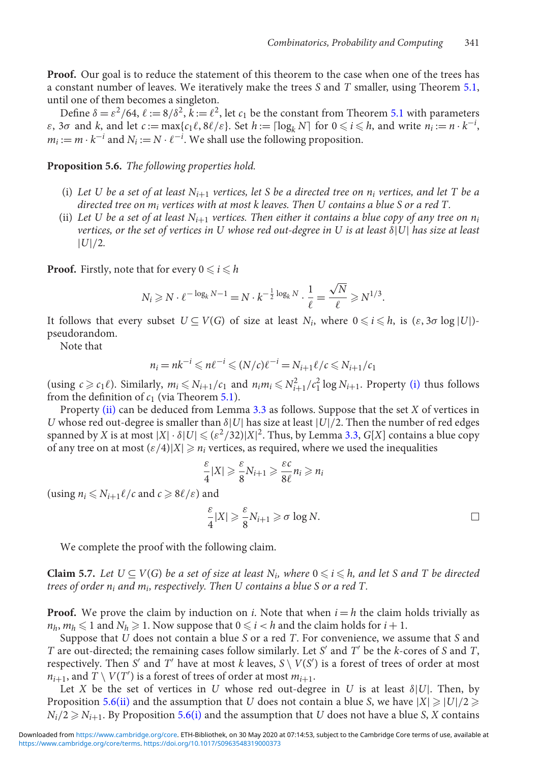**Proof.** Our goal is to reduce the statement of this theorem to the case when one of the trees has a constant number of leaves. We iteratively make the trees *S* and *T* smaller, using Theorem [5.1,](#page-20-1) until one of them becomes a singleton.

Define  $\delta = \varepsilon^2/64$ ,  $\ell := 8/\delta^2$ ,  $\bar{k} := \ell^2$ , let  $c_1$  be the constant from Theorem [5.1](#page-20-1) with parameters  $\varepsilon$ ,  $3\sigma$  and  $k$ , and let  $c := \max\{c_1 \ell, 8\ell/\varepsilon\}$ . Set  $h := \lceil \log_k N \rceil$  for  $0 \leq i \leq h$ , and write  $n_i := n \cdot k^{-i}$ ,  $m_i := m \cdot k^{-i}$  and  $N_i := N \cdot \ell^{-i}$ . We shall use the following proposition.

<span id="page-23-2"></span><span id="page-23-0"></span>**Proposition 5.6.** *The following properties hold.*

- (i) Let U be a set of at least  $N_{i+1}$  vertices, let S be a directed tree on  $n_i$  vertices, and let T be a *directed tree on mi vertices with at most k leaves. Then U contains a blue S or a red T.*
- <span id="page-23-1"></span>(ii) Let U be a set of at least  $N_{i+1}$  vertices. Then either it contains a blue copy of any tree on  $n_i$ *vertices, or the set of vertices in U whose red out-degree in U is at least* δ|*U*| *has size at least* |*U*|/2*.*

**Proof.** Firstly, note that for every  $0 \leq i \leq h$ 

$$
N_i \ge N \cdot \ell^{-\log_k N - 1} = N \cdot k^{-\frac{1}{2}\log_k N} \cdot \frac{1}{\ell} = \frac{\sqrt{N}}{\ell} \ge N^{1/3}.
$$

It follows that every subset  $U \subseteq V(G)$  of size at least  $N_i$ , where  $0 \leq i \leq h$ , is  $(\varepsilon, 3\sigma \log |U|)$ pseudorandom.

Note that

$$
n_i = nk^{-i} \leqslant n\ell^{-i} \leqslant (N/\ell)\ell^{-i} = N_{i+1}\ell/\ell \leqslant N_{i+1}/\ell_1
$$

(using  $c \geq c_1 \ell$ ). Similarly,  $m_i \leq N_{i+1}/c_1$  and  $n_i m_i \leq N_{i+1}^2/c_1^2 \log N_{i+1}$ . Property [\(i\)](#page-23-0) thus follows from the definition of  $c_1$  (via Theorem [5.1\)](#page-20-1).

Property [\(ii\)](#page-23-1) can be deduced from Lemma [3.3](#page-5-1) as follows. Suppose that the set *X* of vertices in *U* whose red out-degree is smaller than  $\delta |U|$  has size at least  $|U|/2$ . Then the number of red edges spanned by *X* is at most  $|X| \cdot \delta |U| \leqslant (\varepsilon^2/32)|X|^2$ . Thus, by Lemma [3.3,](#page-5-1) *G*[*X*] contains a blue copy of any tree on at most  $(\varepsilon/4)|X| \geq n_i$  vertices, as required, where we used the inequalities

$$
\frac{\varepsilon}{4}|X| \geqslant \frac{\varepsilon}{8}N_{i+1} \geqslant \frac{\varepsilon c}{8\ell}n_i \geqslant n_i
$$

 $(\text{using } n_i \leq N_{i+1} \ell / c \text{ and } c \geqslant 8 \ell / \varepsilon) \text{ and}$ 

$$
\frac{\varepsilon}{4}|X| \geqslant \frac{\varepsilon}{8}N_{i+1} \geqslant \sigma \log N.
$$

We complete the proof with the following claim.

<span id="page-23-3"></span>**Claim 5.7.** Let  $U \subseteq V(G)$  be a set of size at least  $N_i$ , where  $0 \leq i \leq h$ , and let S and T be directed *trees of order ni and mi, respectively. Then U contains a blue S or a red T.*

**Proof.** We prove the claim by induction on *i*. Note that when  $i = h$  the claim holds trivially as  $n_h$ ,  $m_h \leq 1$  and  $N_h \geq 1$ . Now suppose that  $0 \leq i < h$  and the claim holds for  $i + 1$ .

Suppose that *U* does not contain a blue *S* or a red *T*. For convenience, we assume that *S* and *T* are out-directed; the remaining cases follow similarly. Let *S* and *T* be the *k*-cores of *S* and *T*, respectively. Then *S'* and *T'* have at most *k* leaves,  $S \setminus V(S')$  is a forest of trees of order at most  $n_{i+1}$ , and  $\overset{\cdot}{T} \setminus V(T')$  is a forest of trees of order at most  $m_{i+1}$ .

Let *X* be the set of vertices in *U* whose red out-degree in *U* is at least  $\delta |U|$ . Then, by Proposition [5.6](#page-23-2)[\(ii\)](#page-23-1) and the assumption that *U* does not contain a blue *S*, we have  $|X| \ge |U|/2 \ge$  $N_i/2 \ge N_{i+1}$ . By Proposition [5.6](#page-23-2)[\(i\)](#page-23-0) and the assumption that *U* does not have a blue *S*, *X* contains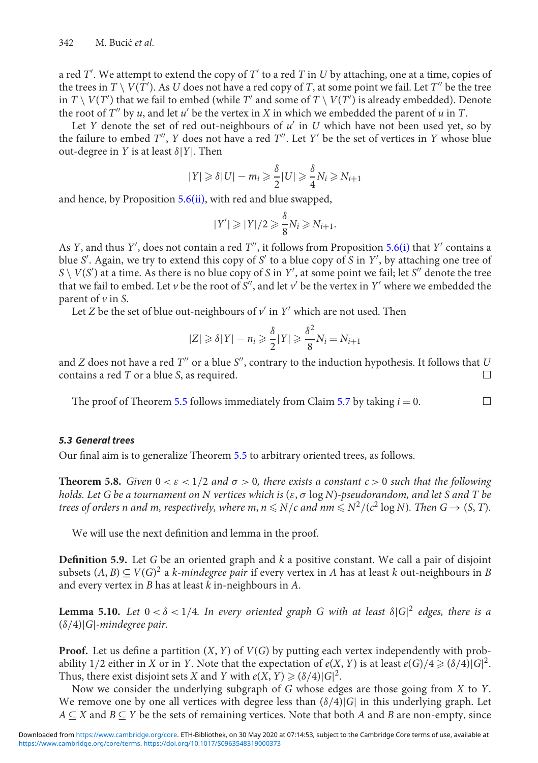a red *T'*. We attempt to extend the copy of *T'* to a red *T* in *U* by attaching, one at a time, copies of the trees in  $T \setminus V(T')$ . As  $U$  does not have a red copy of  $T$ , at some point we fail. Let  $T''$  be the tree in  $T \setminus V(T')$  that we fail to embed (while  $T'$  and some of  $T \setminus V(T')$  is already embedded). Denote the root of  $T''$  by *u*, and let  $u'$  be the vertex in *X* in which we embedded the parent of *u* in *T*.

Let *Y* denote the set of red out-neighbours of  $u'$  in *U* which have not been used yet, so by the failure to embed *T''*, *Y* does not have a red *T''*. Let *Y'* be the set of vertices in *Y* whose blue out-degree in *Y* is at least  $\delta$ |*Y*|. Then

$$
|Y| \geq \delta |U| - m_i \geq \frac{\delta}{2} |U| \geq \frac{\delta}{4} N_i \geq N_{i+1}
$$

and hence, by Proposition  $5.6(ii)$  $5.6(ii)$ , with red and blue swapped,

$$
|Y'| \geq |Y|/2 \geq \frac{\delta}{8}N_i \geq N_{i+1}.
$$

As *Y*, and thus *Y'*, does not contain a red *T''*, it follows from Proposition [5.6](#page-23-2)[\(i\)](#page-23-0) that *Y'* contains a blue *S* . Again, we try to extend this copy of *S* to a blue copy of *S* in *Y* , by attaching one tree of  $S \setminus V(S')$  at a time. As there is no blue copy of *S* in *Y'*, at some point we fail; let *S''* denote the tree that we fail to embed. Let *v* be the root of *S''*, and let  $v'$  be the vertex in *Y'* where we embedded the parent of *v* in *S*.

Let *Z* be the set of blue out-neighbours of  $v'$  in  $Y'$  which are not used. Then

$$
|Z| \geq \delta |Y| - n_i \geq \frac{\delta}{2} |Y| \geq \frac{\delta^2}{8} N_i = N_{i+1}
$$

and  $Z$  does not have a red  $T''$  or a blue  $S''$ , contrary to the induction hypothesis. It follows that  $U$ contains a red *T* or a blue *S*, as required.  $\Box$ 

 $\Box$ 

The proof of Theorem [5.5](#page-22-0) follows immediately from Claim [5.7](#page-23-3) by taking  $i = 0$ .

#### *5.3 General trees*

Our final aim is to generalize Theorem [5.5](#page-22-0) to arbitrary oriented trees, as follows.

<span id="page-24-0"></span>**Theorem 5.8.** *Given*  $0 < \varepsilon < 1/2$  *and*  $\sigma > 0$ *, there exists a constant*  $c > 0$  *such that the following holds. Let G be a tournament on N vertices which is* (ε, σ log *N*)*-pseudorandom, and let S and T be* trees of orders n and m, respectively, where m,  $n$   $\leqslant$   $N/c$  and nm  $\leqslant$   $N^2/(c^2 \log N)$ . Then G  $\rightarrow$  (S, T).

We will use the next definition and lemma in the proof.

**Definition 5.9.** Let *G* be an oriented graph and *k* a positive constant. We call a pair of disjoint subsets  $(A, B) ⊆ V(G)^2$  a *k-mindegree pair* if every vertex in *A* has at least *k* out-neighbours in *B* and every vertex in *B* has at least *k* in-neighbours in *A*.

<span id="page-24-1"></span>**Lemma 5.10.** *Let*  $0 < \delta < 1/4$ *. In every oriented graph G with at least*  $\delta |G|^2$  *edges, there is a* (δ/4)|*G*|*-mindegree pair.*

**Proof.** Let us define a partition (*X*, *Y*) of *V*(*G*) by putting each vertex independently with probability 1/2 either in *X* or in *Y*. Note that the expectation of  $e(X, Y)$  is at least  $e(G)/4 \geq (\delta/4)|G|^2$ . Thus, there exist disjoint sets *X* and *Y* with  $e(X, Y) \geq (8/4)|G|^2$ .

Now we consider the underlying subgraph of *G* whose edges are those going from *X* to *Y*. We remove one by one all vertices with degree less than  $(\delta/4)|G|$  in this underlying graph. Let *A* ⊆ *X* and *B* ⊆ *Y* be the sets of remaining vertices. Note that both *A* and *B* are non-empty, since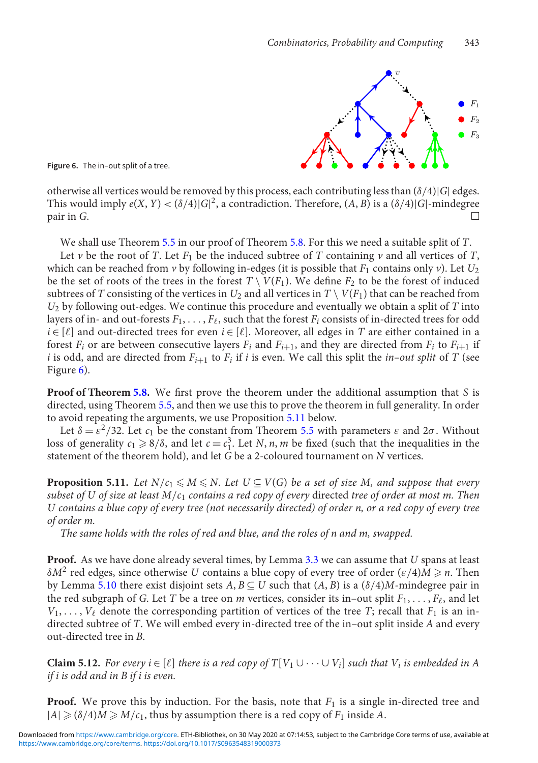

<span id="page-25-0"></span>**Figure 6.** The in–out split of a tree.

otherwise all vertices would be removed by this process, each contributing less than  $(\delta/4)|G|$  edges. This would imply  $e(X, Y) < (\delta/4)|G|^2$ , a contradiction. Therefore,  $(A, B)$  is a  $(\delta/4)|G|$ -mindegree pair in *G*.

We shall use Theorem [5.5](#page-22-0) in our proof of Theorem [5.8.](#page-24-0) For this we need a suitable split of *T*.

Let *v* be the root of *T*. Let  $F_1$  be the induced subtree of *T* containing *v* and all vertices of *T*, which can be reached from  $\nu$  by following in-edges (it is possible that  $F_1$  contains only  $\nu$ ). Let  $U_2$ be the set of roots of the trees in the forest  $T \setminus V(F_1)$ . We define  $F_2$  to be the forest of induced subtrees of *T* consisting of the vertices in  $U_2$  and all vertices in  $T \setminus V(F_1)$  that can be reached from *U*<sup>2</sup> by following out-edges. We continue this procedure and eventually we obtain a split of *T* into layers of in- and out-forests  $F_1,\ldots,F_\ell,$  such that the forest  $F_i$  consists of in-directed trees for odd  $i \in [\ell]$  and out-directed trees for even  $i \in [\ell]$ . Moreover, all edges in *T* are either contained in a forest  $F_i$  or are between consecutive layers  $F_i$  and  $F_{i+1}$ , and they are directed from  $F_i$  to  $F_{i+1}$  if *i* is odd, and are directed from  $F_{i+1}$  to  $F_i$  if *i* is even. We call this split the *in–out split* of *T* (see Figure [6\)](#page-25-0).

**Proof of Theorem [5.8.](#page-24-0)** We first prove the theorem under the additional assumption that *S* is directed, using Theorem [5.5,](#page-22-0) and then we use this to prove the theorem in full generality. In order to avoid repeating the arguments, we use Proposition [5.11](#page-25-1) below.

Let  $\delta = \varepsilon^2/32$ . Let  $c_1$  be the constant from Theorem [5.5](#page-22-0) with parameters  $\varepsilon$  and  $2\sigma$ . Without loss of generality  $c_1 \ge 8/\delta$ , and let  $c = c_1^3$ . Let *N*, *n*, *m* be fixed (such that the inequalities in the statement of the theorem hold), and let  $\overline{G}$  be a 2-coloured tournament on  $N$  vertices.

<span id="page-25-1"></span>**Proposition 5.11.** Let  $N/c_1 \leqslant M \leqslant N$ . Let  $U \subseteq V(G)$  be a set of size M, and suppose that every *subset of U of size at least M*/*c*<sup>1</sup> *contains a red copy of every* directed *tree of order at most m. Then U contains a blue copy of every tree (not necessarily directed) of order n, or a red copy of every tree of order m.*

*The same holds with the roles of red and blue, and the roles of n and m, swapped.*

**Proof.** As we have done already several times, by Lemma [3.3](#page-5-1) we can assume that *U* spans at least  $\delta M^2$  red edges, since otherwise *U* contains a blue copy of every tree of order ( $\varepsilon/4$ )*M*  $\geq n$ . Then by Lemma [5.10](#page-24-1) there exist disjoint sets  $A, B \subseteq U$  such that  $(A, B)$  is a  $(\delta/4)M$ -mindegree pair in the red subgraph of *G*. Let *T* be a tree on *m* vertices, consider its in–out split  $F_1, \ldots, F_\ell$ , and let  $V_1, \ldots, V_\ell$  denote the corresponding partition of vertices of the tree *T*; recall that *F*<sub>1</sub> is an indirected subtree of *T*. We will embed every in-directed tree of the in–out split inside *A* and every out-directed tree in *B*.

<span id="page-25-2"></span>**Claim 5.12.** *For every i*  $\in$  [ $\ell$ ] *there is a red copy of*  $T[V_1 \cup \cdots \cup V_i]$  *such that*  $V_i$  *is embedded in A if i is odd and in B if i is even.*

**Proof.** We prove this by induction. For the basis, note that  $F_1$  is a single in-directed tree and  $|A| \geq (\delta/4)M \geq M/c_1$ , thus by assumption there is a red copy of  $F_1$  inside A.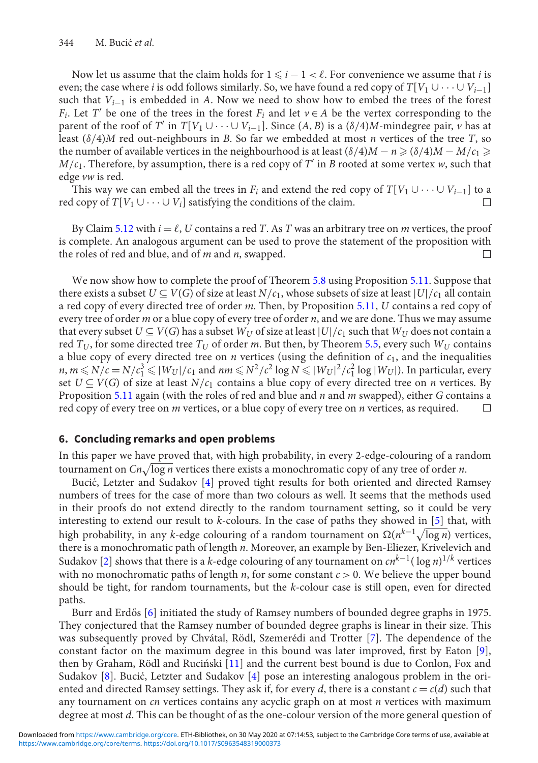Now let us assume that the claim holds for  $1 \leq i - 1 < \ell$ . For convenience we assume that *i* is even; the case where *i* is odd follows similarly. So, we have found a red copy of  $T[V_1 \cup \cdots \cup V_{i-1}]$ such that  $V_{i-1}$  is embedded in *A*. Now we need to show how to embed the trees of the forest *F<sub>i</sub>*. Let *T'* be one of the trees in the forest *F<sub>i</sub>* and let  $v \in A$  be the vertex corresponding to the parent of the roof of *T'* in  $T[V_1 \cup \cdots \cup V_{i-1}]$ . Since  $(A, B)$  is a  $(\delta/4)M$ -mindegree pair, *v* has at least (δ/4)*M* red out-neighbours in *B*. So far we embedded at most *n* vertices of the tree *T*, so the number of available vertices in the neighbourhood is at least  $(\delta/4)M - n \geq (\delta/4)M - M/c_1 \geq$  $M/c<sub>1</sub>$ . Therefore, by assumption, there is a red copy of *T'* in *B* rooted at some vertex *w*, such that edge *vw* is red.

This way we can embed all the trees in  $F_i$  and extend the red copy of  $T[V_1 \cup \cdots \cup V_{i-1}]$  to a red copy of  $T[V_1 \cup \cdots \cup V_i]$  satisfying the conditions of the claim.  $\Box$ 

By Claim [5.12](#page-25-2) with  $i = \ell$ , *U* contains a red *T*. As *T* was an arbitrary tree on *m* vertices, the proof is complete. An analogous argument can be used to prove the statement of the proposition with the roles of red and blue, and of *m* and *n*, swapped.

We now show how to complete the proof of Theorem [5.8](#page-24-0) using Proposition [5.11.](#page-25-1) Suppose that there exists a subset  $U \subseteq V(G)$  of size at least  $N/c_1$ , whose subsets of size at least  $|U|/c_1$  all contain a red copy of every directed tree of order *m*. Then, by Proposition [5.11,](#page-25-1) *U* contains a red copy of every tree of order *m* or a blue copy of every tree of order *n*, and we are done. Thus we may assume that every subset  $U \subseteq V(G)$  has a subset  $W_U$  of size at least  $|U|/c_1$  such that  $W_U$  does not contain a red *TU*, for some directed tree *TU* of order *m*. But then, by Theorem [5.5,](#page-22-0) every such *WU* contains a blue copy of every directed tree on  $n$  vertices (using the definition of  $c_1$ , and the inequalities  $n, m \le N/c = N/c_1^3 \le |W_U|/c_1$  and  $nm \le N^2/c^2 \log N \le |W_U|^2/c_1^2 \log |W_U|$ ). In particular, every set  $U \subseteq V(G)$  of size at least  $N/c_1$  contains a blue copy of every directed tree on *n* vertices. By Proposition [5.11](#page-25-1) again (with the roles of red and blue and *n* and *m* swapped), either *G* contains a red copy of every tree on *m* vertices, or a blue copy of every tree on *n* vertices, as required.  $\Box$ 

## **6. Concluding remarks and open problems**

In this paper we have proved that, with high probability, in every 2-edge-colouring of a random tournament on *Cn*-log *n* vertices there exists a monochromatic copy of any tree of order *n*.

Bucić, Letzter and Sudakov [[4\]](#page-27-5) proved tight results for both oriented and directed Ramsey numbers of trees for the case of more than two colours as well. It seems that the methods used in their proofs do not extend directly to the random tournament setting, so it could be very interesting to extend our result to *k*-colours. In the case of paths they showed in [\[5\]](#page-27-7) that, with high probability, in any *k*-edge colouring of a random tournament on Ω(n<sup>k−1</sup>√log n) vertices, there is a monochromatic path of length *n*. Moreover, an example by Ben-Eliezer, Krivelevich and Sudakov [\[2\]](#page-27-6) shows that there is a *k*-edge colouring of any tournament on *cnk*<sup>−</sup>1( log *n*) <sup>1</sup>/*<sup>k</sup>* vertices with no monochromatic paths of length  $n$ , for some constant  $c > 0$ . We believe the upper bound should be tight, for random tournaments, but the *k*-colour case is still open, even for directed paths.

Burr and Erdős [[6\]](#page-27-13) initiated the study of Ramsey numbers of bounded degree graphs in 1975. They conjectured that the Ramsey number of bounded degree graphs is linear in their size. This was subsequently proved by Chvátal, Rödl, Szemerédi and Trotter [\[7\]](#page-27-14). The dependence of the constant factor on the maximum degree in this bound was later improved, first by Eaton [\[9\]](#page-27-15), then by Graham, Rödl and Ruciński [[11\]](#page-27-16) and the current best bound is due to Conlon, Fox and Sudakov [\[8\]](#page-27-17). Bucić, Letzter and Sudakov [[4\]](#page-27-5) pose an interesting analogous problem in the oriented and directed Ramsey settings. They ask if, for every *d*, there is a constant  $c = c(d)$  such that any tournament on *cn* vertices contains any acyclic graph on at most *n* vertices with maximum degree at most *d*. This can be thought of as the one-colour version of the more general question of